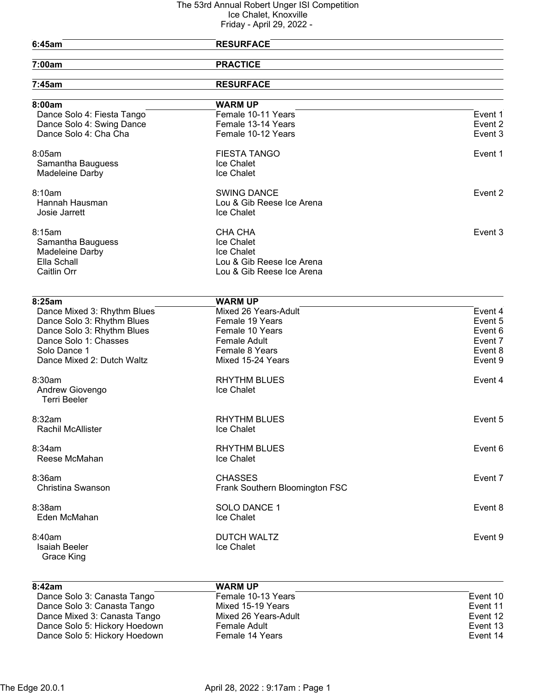| 6:45am                      | <b>RESURFACE</b>               |         |
|-----------------------------|--------------------------------|---------|
|                             |                                |         |
| 7:00am                      | <b>PRACTICE</b>                |         |
| 7:45am                      | <b>RESURFACE</b>               |         |
| 8:00am                      | <b>WARM UP</b>                 |         |
| Dance Solo 4: Fiesta Tango  | Female 10-11 Years             | Event 1 |
| Dance Solo 4: Swing Dance   | Female 13-14 Years             | Event 2 |
| Dance Solo 4: Cha Cha       | Female 10-12 Years             | Event 3 |
| 8:05am                      | <b>FIESTA TANGO</b>            | Event 1 |
| Samantha Bauguess           | Ice Chalet                     |         |
| Madeleine Darby             | Ice Chalet                     |         |
| 8:10am                      | <b>SWING DANCE</b>             | Event 2 |
| Hannah Hausman              | Lou & Gib Reese Ice Arena      |         |
| Josie Jarrett               | Ice Chalet                     |         |
| 8:15am                      | CHA CHA                        | Event 3 |
| Samantha Bauguess           | Ice Chalet                     |         |
| <b>Madeleine Darby</b>      | Ice Chalet                     |         |
| Ella Schall                 | Lou & Gib Reese Ice Arena      |         |
| Caitlin Orr                 | Lou & Gib Reese Ice Arena      |         |
|                             |                                |         |
| 8:25am                      | <b>WARM UP</b>                 |         |
| Dance Mixed 3: Rhythm Blues | Mixed 26 Years-Adult           | Event 4 |
| Dance Solo 3: Rhythm Blues  | Female 19 Years                | Event 5 |
| Dance Solo 3: Rhythm Blues  | Female 10 Years                | Event 6 |
| Dance Solo 1: Chasses       | <b>Female Adult</b>            | Event 7 |
| Solo Dance 1                | Female 8 Years                 | Event 8 |
| Dance Mixed 2: Dutch Waltz  | Mixed 15-24 Years              | Event 9 |
| 8:30am                      | <b>RHYTHM BLUES</b>            | Event 4 |
| Andrew Giovengo             | Ice Chalet                     |         |
| <b>Terri Beeler</b>         |                                |         |
| 8:32am                      | <b>RHYTHM BLUES</b>            | Event 5 |
| Rachil McAllister           | Ice Chalet                     |         |
| 8:34am                      | <b>RHYTHM BLUES</b>            | Event 6 |
| Reese McMahan               | Ice Chalet                     |         |
| 8:36am                      | <b>CHASSES</b>                 | Event 7 |
| Christina Swanson           | Frank Southern Bloomington FSC |         |
|                             |                                |         |
| 8:38am<br>Eden McMahan      | SOLO DANCE 1<br>Ice Chalet     | Event 8 |
|                             |                                |         |
| 8:40am                      | <b>DUTCH WALTZ</b>             | Event 9 |
| <b>Isaiah Beeler</b>        | Ice Chalet                     |         |
| Grace King                  |                                |         |
|                             |                                |         |

| 8:42am                        | <b>WARM UP</b>       |          |
|-------------------------------|----------------------|----------|
| Dance Solo 3: Canasta Tango   | Female 10-13 Years   | Event 10 |
| Dance Solo 3: Canasta Tango   | Mixed 15-19 Years    | Event 11 |
| Dance Mixed 3: Canasta Tango  | Mixed 26 Years-Adult | Event 12 |
| Dance Solo 5: Hickory Hoedown | Female Adult         | Event 13 |
| Dance Solo 5: Hickory Hoedown | Female 14 Years      | Event 14 |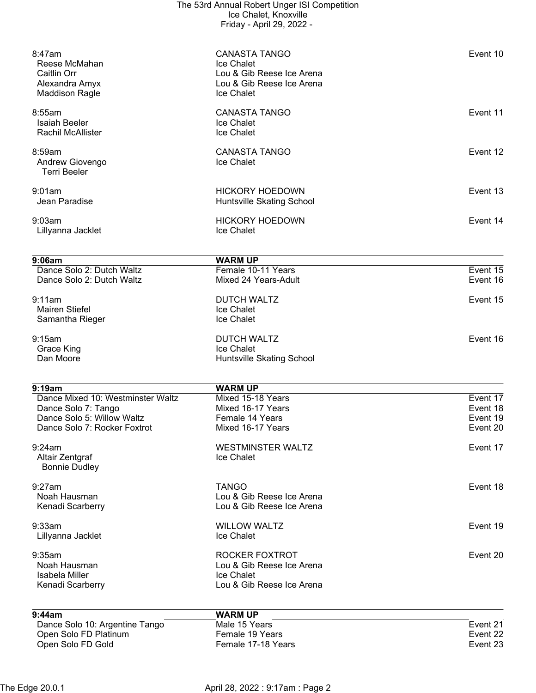| 8:47am<br>Reese McMahan<br>Caitlin Orr<br>Alexandra Amyx<br><b>Maddison Ragle</b> | <b>CANASTA TANGO</b><br>Ice Chalet<br>Lou & Gib Reese Ice Arena<br>Lou & Gib Reese Ice Arena<br>Ice Chalet | Event 10 |
|-----------------------------------------------------------------------------------|------------------------------------------------------------------------------------------------------------|----------|
| 8:55am<br><b>Isaiah Beeler</b><br><b>Rachil McAllister</b>                        | <b>CANASTA TANGO</b><br>Ice Chalet<br>Ice Chalet                                                           | Event 11 |
| 8:59am<br>Andrew Giovengo<br><b>Terri Beeler</b>                                  | <b>CANASTA TANGO</b><br>Ice Chalet                                                                         | Event 12 |
| 9:01am<br>Jean Paradise                                                           | <b>HICKORY HOEDOWN</b><br>Huntsville Skating School                                                        | Event 13 |
| 9:03am<br>Lillyanna Jacklet                                                       | <b>HICKORY HOEDOWN</b><br>Ice Chalet                                                                       | Event 14 |
| 9:06am                                                                            | <b>WARM UP</b>                                                                                             |          |
| Dance Solo 2: Dutch Waltz                                                         | Female 10-11 Years                                                                                         | Event 15 |
| Dance Solo 2: Dutch Waltz                                                         | Mixed 24 Years-Adult                                                                                       | Event 16 |
| 9:11am<br><b>Mairen Stiefel</b><br>Samantha Rieger                                | <b>DUTCH WALTZ</b><br>Ice Chalet<br>Ice Chalet                                                             | Event 15 |
|                                                                                   |                                                                                                            |          |
| 9:15am<br>Grace King<br>Dan Moore                                                 | <b>DUTCH WALTZ</b><br>Ice Chalet<br>Huntsville Skating School                                              | Event 16 |
| 9:19am                                                                            | <b>WARM UP</b>                                                                                             |          |
| Dance Mixed 10: Westminster Waltz                                                 | Mixed 15-18 Years                                                                                          | Event 17 |
| Dance Solo 7: Tango                                                               | Mixed 16-17 Years                                                                                          | Event 18 |
| Dance Solo 5: Willow Waltz                                                        | Female 14 Years                                                                                            | Event 19 |
| Dance Solo 7: Rocker Foxtrot                                                      | Mixed 16-17 Years                                                                                          | Event 20 |
| 9:24am<br>Altair Zentgraf<br><b>Bonnie Dudley</b>                                 | <b>WESTMINSTER WALTZ</b><br>Ice Chalet                                                                     | Event 17 |
| 9:27am                                                                            | <b>TANGO</b>                                                                                               | Event 18 |
| Noah Hausman                                                                      | Lou & Gib Reese Ice Arena                                                                                  |          |
| Kenadi Scarberry                                                                  | Lou & Gib Reese Ice Arena                                                                                  |          |
| 9:33am                                                                            | <b>WILLOW WALTZ</b>                                                                                        | Event 19 |
| Lillyanna Jacklet                                                                 | Ice Chalet                                                                                                 |          |
| 9:35am                                                                            | ROCKER FOXTROT                                                                                             | Event 20 |
| Noah Hausman                                                                      | Lou & Gib Reese Ice Arena                                                                                  |          |
| Isabela Miller<br>Kenadi Scarberry                                                | Ice Chalet<br>Lou & Gib Reese Ice Arena                                                                    |          |
| 9:44am                                                                            | <b>WARM UP</b>                                                                                             |          |
| Dance Solo 10: Argentine Tango                                                    | Male 15 Years                                                                                              | Event 21 |
| Open Solo FD Platinum                                                             | Female 19 Years                                                                                            | Event 22 |
| Open Solo FD Gold                                                                 | Female 17-18 Years                                                                                         | Event 23 |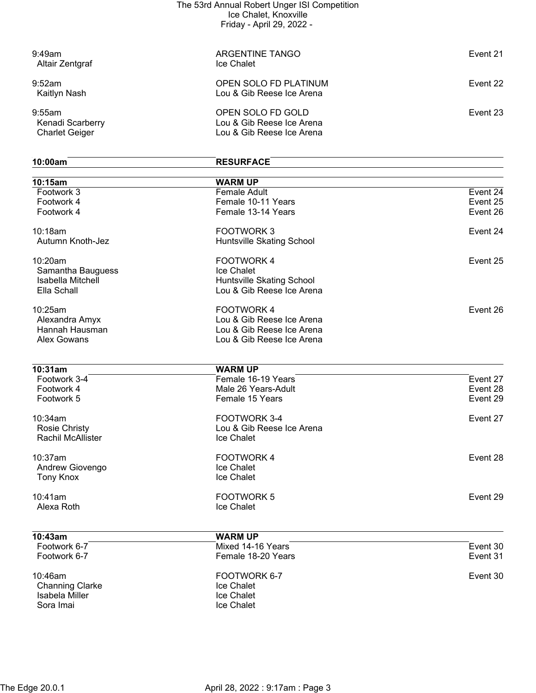| 9:49am<br>Altair Zentgraf                           | ARGENTINE TANGO<br>Ice Chalet                                               | Event 21 |
|-----------------------------------------------------|-----------------------------------------------------------------------------|----------|
| 9:52am<br>Kaitlyn Nash                              | OPEN SOLO FD PLATINUM<br>Lou & Gib Reese Ice Arena                          | Event 22 |
| 9:55am<br>Kenadi Scarberry<br><b>Charlet Geiger</b> | OPEN SOLO FD GOLD<br>Lou & Gib Reese Ice Arena<br>Lou & Gib Reese Ice Arena | Event 23 |

## **10:00am RESURFACE**

| 10:15am                  | <b>WARM UP</b>            |          |
|--------------------------|---------------------------|----------|
| Footwork 3               | <b>Female Adult</b>       | Event 24 |
| Footwork 4               | Female 10-11 Years        | Event 25 |
| Footwork 4               | Female 13-14 Years        | Event 26 |
| 10:18am                  | <b>FOOTWORK3</b>          | Event 24 |
| Autumn Knoth-Jez         | Huntsville Skating School |          |
| 10:20am                  | <b>FOOTWORK4</b>          | Event 25 |
| Samantha Bauguess        | Ice Chalet                |          |
| Isabella Mitchell        | Huntsville Skating School |          |
| Ella Schall              | Lou & Gib Reese Ice Arena |          |
| 10:25am                  | <b>FOOTWORK4</b>          | Event 26 |
| Alexandra Amyx           | Lou & Gib Reese Ice Arena |          |
| Hannah Hausman           | Lou & Gib Reese Ice Arena |          |
| <b>Alex Gowans</b>       | Lou & Gib Reese Ice Arena |          |
| 10:31am                  | <b>WARM UP</b>            |          |
| Footwork 3-4             | Female 16-19 Years        | Event 27 |
| Footwork 4               | Male 26 Years-Adult       | Event 28 |
| Footwork 5               | Female 15 Years           | Event 29 |
| 10:34am                  | FOOTWORK 3-4              | Event 27 |
| <b>Rosie Christy</b>     | Lou & Gib Reese Ice Arena |          |
| <b>Rachil McAllister</b> | Ice Chalet                |          |
| 10:37am                  | <b>FOOTWORK4</b>          | Event 28 |
| Andrew Giovengo          | Ice Chalet                |          |
| <b>Tony Knox</b>         | Ice Chalet                |          |
| 10:41am                  | <b>FOOTWORK 5</b>         | Event 29 |
| Alexa Roth               | Ice Chalet                |          |
| 10:43am                  | <b>WARM UP</b>            |          |
| Footwork 6-7             | Mixed 14-16 Years         | Event 30 |
| Footwork 6-7             | Female 18-20 Years        | Event 31 |
| 10:46am                  | FOOTWORK 6-7              | Event 30 |
| <b>Channing Clarke</b>   | Ice Chalet                |          |
| Isabela Miller           | Ice Chalet                |          |

Sora Imai **International Community** Contract International International International International International International International International International International International International Internati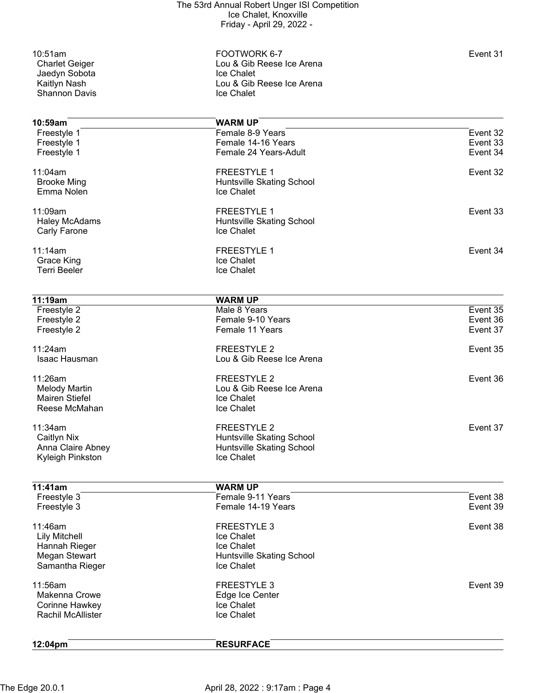Jaedyn Sobota<br>Kaitlyn Nash Shannon Davis

10:51am FOOTWORK 6-7 Event 31 Lou & Gib Reese Ice Arena<br>Ice Chalet Lou & Gib Reese Ice Arena<br>Ice Chalet

| 10:59am                  | <b>WARM UP</b>            |          |
|--------------------------|---------------------------|----------|
| Freestyle 1              | Female 8-9 Years          | Event 32 |
| Freestyle 1              | Female 14-16 Years        | Event 33 |
| Freestyle 1              | Female 24 Years-Adult     | Event 34 |
| 11:04am                  | <b>FREESTYLE 1</b>        | Event 32 |
| <b>Brooke Ming</b>       | Huntsville Skating School |          |
| Emma Nolen               | Ice Chalet                |          |
| 11:09am                  | <b>FREESTYLE 1</b>        | Event 33 |
| <b>Haley McAdams</b>     | Huntsville Skating School |          |
| Carly Farone             | Ice Chalet                |          |
| 11:14am                  | <b>FREESTYLE 1</b>        | Event 34 |
| <b>Grace King</b>        | Ice Chalet                |          |
| <b>Terri Beeler</b>      | Ice Chalet                |          |
| 11:19am                  | <b>WARM UP</b>            |          |
| Freestyle 2              | Male 8 Years              | Event 35 |
| Freestyle 2              | Female 9-10 Years         | Event 36 |
| Freestyle 2              | Female 11 Years           | Event 37 |
| 11:24am                  | <b>FREESTYLE 2</b>        | Event 35 |
| Isaac Hausman            | Lou & Gib Reese Ice Arena |          |
| 11:26am                  | <b>FREESTYLE 2</b>        | Event 36 |
| <b>Melody Martin</b>     | Lou & Gib Reese Ice Arena |          |
| <b>Mairen Stiefel</b>    | Ice Chalet                |          |
| Reese McMahan            | Ice Chalet                |          |
| 11:34am                  | <b>FREESTYLE 2</b>        | Event 37 |
| Caitlyn Nix              | Huntsville Skating School |          |
| Anna Claire Abney        | Huntsville Skating School |          |
| Kyleigh Pinkston         | Ice Chalet                |          |
| 11:41am                  | <b>WARM UP</b>            |          |
| Freestyle 3              | Female 9-11 Years         | Event 38 |
| Freestyle 3              | Female 14-19 Years        | Event 39 |
| 11:46am                  | FREESTYLE 3               | Event 38 |
| <b>Lily Mitchell</b>     | Ice Chalet                |          |
| Hannah Rieger            | Ice Chalet                |          |
| <b>Megan Stewart</b>     | Huntsville Skating School |          |
| Samantha Rieger          | Ice Chalet                |          |
| 11:56am                  | FREESTYLE 3               | Event 39 |
| Makenna Crowe            | Edge Ice Center           |          |
| Corinne Hawkey           | Ice Chalet                |          |
| <b>Rachil McAllister</b> | Ice Chalet                |          |
| 12:04pm                  | <b>RESURFACE</b>          |          |
|                          |                           |          |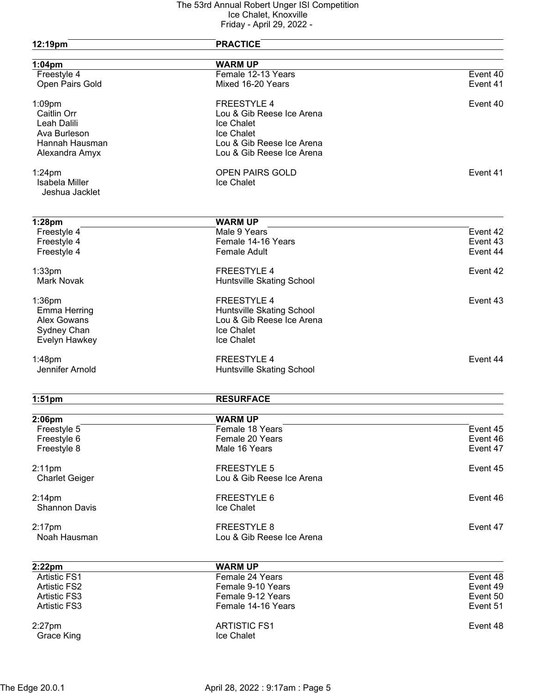| 12:19pm                          | <b>PRACTICE</b>                   |                      |
|----------------------------------|-----------------------------------|----------------------|
| $1:04$ pm                        | <b>WARM UP</b>                    |                      |
| Freestyle 4                      | Female 12-13 Years                | Event 40             |
| Open Pairs Gold                  | Mixed 16-20 Years                 | Event 41             |
| $1:09$ pm                        | <b>FREESTYLE 4</b>                | Event 40             |
| Caitlin Orr                      | Lou & Gib Reese Ice Arena         |                      |
| Leah Dalili                      | Ice Chalet                        |                      |
| Ava Burleson                     | Ice Chalet                        |                      |
| Hannah Hausman                   | Lou & Gib Reese Ice Arena         |                      |
| Alexandra Amyx                   | Lou & Gib Reese Ice Arena         |                      |
| $1:24$ pm                        | <b>OPEN PAIRS GOLD</b>            | Event 41             |
| Isabela Miller<br>Jeshua Jacklet | Ice Chalet                        |                      |
| 1:28pm                           | <b>WARM UP</b>                    |                      |
| Freestyle 4                      | Male 9 Years                      | Event 42             |
| Freestyle 4                      | Female 14-16 Years                | Event 43             |
| Freestyle 4                      | <b>Female Adult</b>               | Event 44             |
|                                  |                                   |                      |
| 1:33 <sub>pm</sub>               | <b>FREESTYLE 4</b>                | Event 42             |
| <b>Mark Novak</b>                | Huntsville Skating School         |                      |
| 1:36pm                           | <b>FREESTYLE 4</b>                | Event 43             |
| Emma Herring                     | Huntsville Skating School         |                      |
| <b>Alex Gowans</b>               | Lou & Gib Reese Ice Arena         |                      |
| Sydney Chan                      | Ice Chalet                        |                      |
| Evelyn Hawkey                    | Ice Chalet                        |                      |
| $1:48$ pm                        | <b>FREESTYLE 4</b>                | Event 44             |
| Jennifer Arnold                  | Huntsville Skating School         |                      |
| $1:51$ pm                        | <b>RESURFACE</b>                  |                      |
|                                  |                                   |                      |
| 2:06pm<br>Freestyle 5            | <b>WARM UP</b><br>Female 18 Years | Event 45             |
| Freestyle 6                      | Female 20 Years                   | Event 46             |
| Freestyle 8                      | Male 16 Years                     | Event 47             |
|                                  |                                   |                      |
| $2:11$ pm                        | <b>FREESTYLE 5</b>                | Event 45             |
| <b>Charlet Geiger</b>            | Lou & Gib Reese Ice Arena         |                      |
| $2:14$ pm                        | FREESTYLE 6                       | Event 46             |
| <b>Shannon Davis</b>             | Ice Chalet                        |                      |
| $2:17$ pm                        | <b>FREESTYLE 8</b>                | Event 47             |
| Noah Hausman                     | Lou & Gib Reese Ice Arena         |                      |
|                                  |                                   |                      |
| 2:22pm<br><b>Artistic FS1</b>    | <b>WARM UP</b><br>Female 24 Years | Event 48             |
| <b>Artistic FS2</b>              | Female 9-10 Years                 |                      |
| <b>Artistic FS3</b>              | Female 9-12 Years                 | Event 49<br>Event 50 |
| <b>Artistic FS3</b>              | Female 14-16 Years                | Event 51             |
|                                  |                                   |                      |
| $2:27$ pm                        | <b>ARTISTIC FS1</b>               | Event 48             |
| <b>Grace King</b>                | Ice Chalet                        |                      |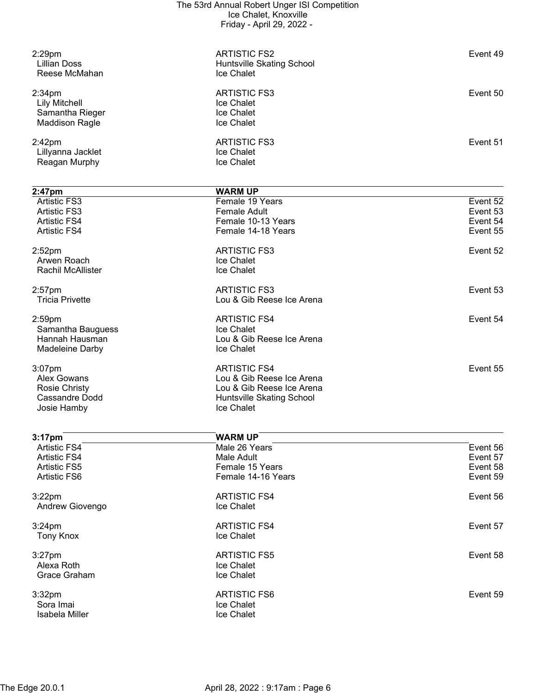| $2:29$ pm<br>Lillian Doss<br>Reese McMahan                                             | <b>ARTISTIC FS2</b><br>Huntsville Skating School<br>Ice Chalet | Event 49 |
|----------------------------------------------------------------------------------------|----------------------------------------------------------------|----------|
| 2:34 <sub>pm</sub><br><b>Lily Mitchell</b><br>Samantha Rieger<br><b>Maddison Ragle</b> | <b>ARTISTIC FS3</b><br>Ice Chalet<br>Ice Chalet<br>Ice Chalet  | Event 50 |
| 2:42 <sub>pm</sub><br>Lillyanna Jacklet<br>Reagan Murphy                               | <b>ARTISTIC FS3</b><br>Ice Chalet<br>Ice Chalet                | Event 51 |

| $2:47$ pm                | <b>WARM UP</b>            |          |
|--------------------------|---------------------------|----------|
| <b>Artistic FS3</b>      | Female 19 Years           | Event 52 |
| <b>Artistic FS3</b>      | Female Adult              | Event 53 |
| <b>Artistic FS4</b>      | Female 10-13 Years        | Event 54 |
| <b>Artistic FS4</b>      | Female 14-18 Years        | Event 55 |
| 2:52 <sub>pm</sub>       | <b>ARTISTIC FS3</b>       | Event 52 |
| Arwen Roach              | Ice Chalet                |          |
| <b>Rachil McAllister</b> | Ice Chalet                |          |
| $2:57$ pm                | <b>ARTISTIC FS3</b>       | Event 53 |
| <b>Tricia Privette</b>   | Lou & Gib Reese Ice Arena |          |
| 2:59 <sub>pm</sub>       | <b>ARTISTIC FS4</b>       | Event 54 |
| Samantha Bauguess        | Ice Chalet                |          |
| Hannah Hausman           | Lou & Gib Reese Ice Arena |          |
| Madeleine Darby          | Ice Chalet                |          |
| $3:07$ pm                | <b>ARTISTIC FS4</b>       | Event 55 |
| Alex Gowans              | Lou & Gib Reese Ice Arena |          |
| Rosie Christy            | Lou & Gib Reese Ice Arena |          |
| Cassandre Dodd           | Huntsville Skating School |          |
| Josie Hamby              | Ice Chalet                |          |
|                          |                           |          |

| 3:17 <sub>pm</sub>  | <b>WARM UP</b>      |          |
|---------------------|---------------------|----------|
| <b>Artistic FS4</b> | Male 26 Years       | Event 56 |
| <b>Artistic FS4</b> | Male Adult          | Event 57 |
| <b>Artistic FS5</b> | Female 15 Years     | Event 58 |
| <b>Artistic FS6</b> | Female 14-16 Years  | Event 59 |
| $3:22$ pm           | <b>ARTISTIC FS4</b> | Event 56 |
| Andrew Giovengo     | Ice Chalet          |          |
| $3:24$ pm           | <b>ARTISTIC FS4</b> | Event 57 |
| <b>Tony Knox</b>    | Ice Chalet          |          |
| $3:27$ pm           | <b>ARTISTIC FS5</b> | Event 58 |
| Alexa Roth          | Ice Chalet          |          |
| Grace Graham        | Ice Chalet          |          |
| 3:32 <sub>pm</sub>  | <b>ARTISTIC FS6</b> | Event 59 |
| Sora Imai           | Ice Chalet          |          |
| Isabela Miller      | Ice Chalet          |          |
|                     |                     |          |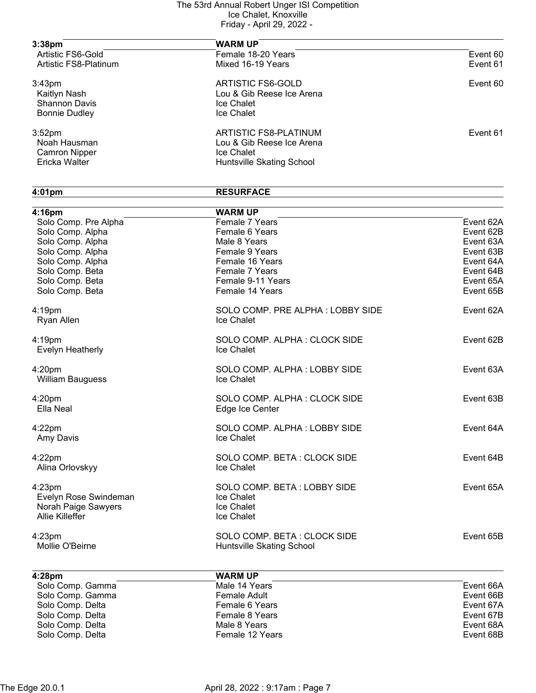| 3:38 <sub>pm</sub>                                                                 | <b>WARM UP</b>                                                                                       |          |
|------------------------------------------------------------------------------------|------------------------------------------------------------------------------------------------------|----------|
| Artistic FS6-Gold                                                                  | Female 18-20 Years                                                                                   | Event 60 |
| Artistic FS8-Platinum                                                              | Mixed 16-19 Years                                                                                    | Event 61 |
| 3:43 <sub>pm</sub><br>Kaitlyn Nash<br><b>Shannon Davis</b><br><b>Bonnie Dudley</b> | <b>ARTISTIC FS6-GOLD</b><br>Lou & Gib Reese Ice Arena<br><b>Ice Chalet</b><br>Ice Chalet             | Event 60 |
| 3:52 <sub>pm</sub><br>Noah Hausman<br><b>Camron Nipper</b><br>Ericka Walter        | ARTISTIC FS8-PLATINUM<br>Lou & Gib Reese Ice Arena<br><b>Ice Chalet</b><br>Huntsville Skating School | Event 61 |

# **4:01pm RESURFACE 4:16pm WARM UP** Solo Comp. Pre Alpha Female 7 Years Event 62A Solo Comp. Alpha **Female 6 Years Event 62B** Female 6 Years Event 62B Solo Comp. Alpha Male 8 Years Event 63A Solo Comp. Alpha **Female 9 Years Event 63B** Female 9 Years **Event 63B** Solo Comp. Alpha Female 16 Years Event 64A Solo Comp. Beta **Female 7 Years Event 64B** Female 7 Years Event 64B Solo Comp. Beta Female 9-11 Years Event 65A Solo Comp. Beta Female 14 Years Event 65B and Comp. Beta Female 14 Years Event 65B 4:19pm **SOLO COMP. PRE ALPHA : LOBBY SIDE** Event 62A Ryan Allen **Ice Chalet** 4:19pm SOLO COMP. ALPHA : CLOCK SIDE Event 62B Evelyn Heatherly **Ice Chalet** 4:20pm SOLO COMP. ALPHA : LOBBY SIDE Event 63A William Bauguess **Ice Chalet** 4:20pm SOLO COMP. ALPHA : CLOCK SIDE Event 63B Ella Neal **Edge** Ice Center 4:22pm SOLO COMP. ALPHA : LOBBY SIDE Event 64A Amy Davis 4:22pm SOLO COMP. BETA : CLOCK SIDE Event 64B<br> Alina Orlovskvv lce Chalet Alina Orlovskyy 4:23pm SOLO COMP. BETA : LOBBY SIDE Event 65A Evelyn Rose Swindeman Ice Chalet<br>Norah Paige Sawvers Ice Chalet Norah Paige Sawyers Allie Killeffer **Internal Community** Ce Chalet 4:23pm SOLO COMP. BETA : CLOCK SIDE Event 65B Mollie O'Beirne **Mollie Skating School 4:28pm WARM UP** Solo Comp. Gamma Male 14 Years Event 66A

| Solo Comp. Gamma | Male 14 Years   | Event 66A |
|------------------|-----------------|-----------|
| Solo Comp. Gamma | Female Adult    | Event 66B |
| Solo Comp. Delta | Female 6 Years  | Event 67A |
| Solo Comp. Delta | Female 8 Years  | Event 67B |
| Solo Comp. Delta | Male 8 Years    | Event 68A |
| Solo Comp. Delta | Female 12 Years | Event 68B |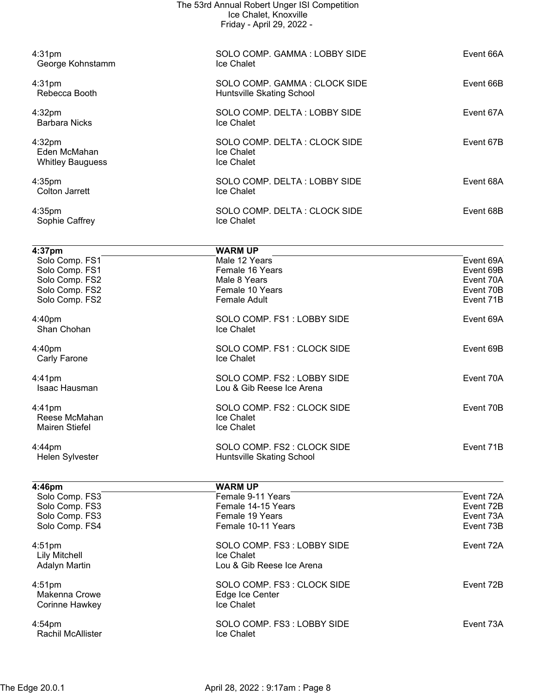|                                                                                | The 53rd Annual Robert Unger ISI Competition<br>Ice Chalet, Knoxville<br>Friday - April 29, 2022 - |                                                  |
|--------------------------------------------------------------------------------|----------------------------------------------------------------------------------------------------|--------------------------------------------------|
| 4:31 <sub>pm</sub><br>George Kohnstamm                                         | SOLO COMP. GAMMA: LOBBY SIDE<br>Ice Chalet                                                         | Event 66A                                        |
| $4:31$ pm<br>Rebecca Booth                                                     | SOLO COMP. GAMMA: CLOCK SIDE<br>Huntsville Skating School                                          | Event 66B                                        |
| 4:32pm<br><b>Barbara Nicks</b>                                                 | SOLO COMP. DELTA: LOBBY SIDE<br>Ice Chalet                                                         | Event 67A                                        |
| 4:32 <sub>pm</sub><br>Eden McMahan<br><b>Whitley Bauguess</b>                  | SOLO COMP. DELTA: CLOCK SIDE<br>Ice Chalet<br>Ice Chalet                                           | Event 67B                                        |
| $4:35$ pm<br><b>Colton Jarrett</b>                                             | SOLO COMP. DELTA: LOBBY SIDE<br>Ice Chalet                                                         | Event 68A                                        |
| 4:35 <sub>pm</sub><br>Sophie Caffrey                                           | SOLO COMP. DELTA: CLOCK SIDE<br>Ice Chalet                                                         | Event 68B                                        |
| 4:37pm                                                                         | <b>WARM UP</b>                                                                                     |                                                  |
| Solo Comp. FS1<br>Solo Comp. FS1<br>Solo Comp. FS2                             | Male 12 Years<br>Female 16 Years<br>Male 8 Years                                                   | Event 69A<br>Event 69B<br>Event 70A              |
| Solo Comp. FS2<br>Solo Comp. FS2                                               | Female 10 Years<br><b>Female Adult</b>                                                             | Event 70B<br>Event 71B                           |
| 4:40pm<br>Shan Chohan                                                          | SOLO COMP. FS1: LOBBY SIDE<br>Ice Chalet                                                           | Event 69A                                        |
| 4:40pm<br><b>Carly Farone</b>                                                  | SOLO COMP. FS1: CLOCK SIDE<br>Ice Chalet                                                           | Event 69B                                        |
| 4:41pm<br>Isaac Hausman                                                        | SOLO COMP. FS2: LOBBY SIDE<br>Lou & Gib Reese Ice Arena                                            | Event 70A                                        |
| 4:41pm<br>Reese McMahan<br><b>Mairen Stiefel</b>                               | SOLO COMP. FS2 : CLOCK SIDE<br>Ice Chalet<br>Ice Chalet                                            | Event 70B                                        |
| $4:44$ pm<br>Helen Sylvester                                                   | SOLO COMP. FS2 : CLOCK SIDE<br>Huntsville Skating School                                           | Event 71B                                        |
|                                                                                |                                                                                                    |                                                  |
| 4:46pm<br>Solo Comp. FS3<br>Solo Comp. FS3<br>Solo Comp. FS3<br>Solo Comp. FS4 | <b>WARM UP</b><br>Female 9-11 Years<br>Female 14-15 Years<br>Female 19 Years<br>Female 10-11 Years | Event 72A<br>Event 72B<br>Event 73A<br>Event 73B |
| 4:51 <sub>pm</sub><br><b>Lily Mitchell</b><br><b>Adalyn Martin</b>             | SOLO COMP. FS3: LOBBY SIDE<br>Ice Chalet<br>Lou & Gib Reese Ice Arena                              | Event 72A                                        |
| 4:51 <sub>pm</sub><br><b>Makenna Crowe</b><br>Corinne Hawkey                   | SOLO COMP. FS3 : CLOCK SIDE<br>Edge Ice Center<br>Ice Chalet                                       | Event 72B                                        |
| $4:54$ pm<br>Rachil McAllister                                                 | SOLO COMP. FS3: LOBBY SIDE<br>Ice Chalet                                                           | Event 73A                                        |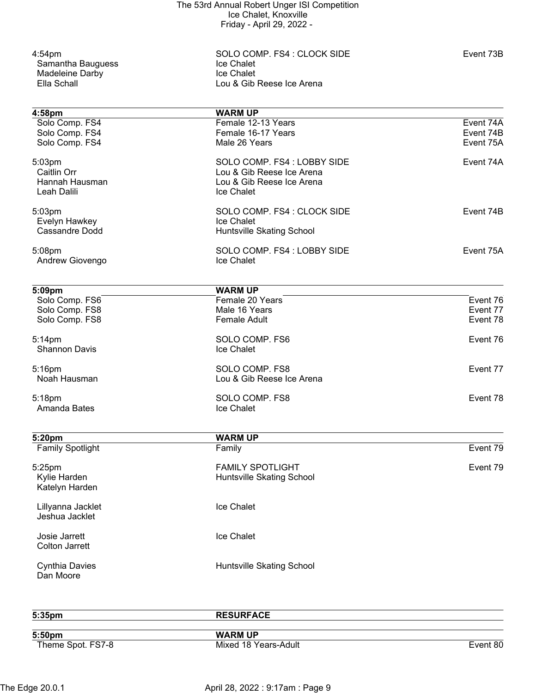Samantha Bauguess<br>
Madeleine Darby<br>
Madeleine Darby<br>
Ice Chalet **Madeleine Darby<br>Ella Schall** 

4:54pm<br>
SOLO COMP. FS4 : CLOCK SIDE<br>
Samantha Bauguess<br>
Samantha Bauguess<br>
Samantha Bauguess<br>
Samantha Bauguess<br>
Samantha Bauguess<br>
Samantha Bauguess<br>
Samantha Bauguess<br>
Samantha Bauguess<br>
Samantha Bauguess Lou & Gib Reese Ice Arena

| 4:58pm                   | <b>WARM UP</b>                    |           |
|--------------------------|-----------------------------------|-----------|
| Solo Comp. FS4           | Female 12-13 Years                | Event 74A |
| Solo Comp. FS4           | Female 16-17 Years                | Event 74B |
| Solo Comp. FS4           | Male 26 Years                     | Event 75A |
| 5:03pm                   | SOLO COMP. FS4 : LOBBY SIDE       | Event 74A |
| Caitlin Orr              | Lou & Gib Reese Ice Arena         |           |
| Hannah Hausman           | Lou & Gib Reese Ice Arena         |           |
| Leah Dalili              | Ice Chalet                        |           |
| 5:03pm                   | SOLO COMP. FS4 : CLOCK SIDE       | Event 74B |
| Evelyn Hawkey            | Ice Chalet                        |           |
| <b>Cassandre Dodd</b>    | Huntsville Skating School         |           |
| 5:08pm                   | SOLO COMP. FS4: LOBBY SIDE        | Event 75A |
| Andrew Giovengo          | Ice Chalet                        |           |
|                          |                                   |           |
| 5:09pm<br>Solo Comp. FS6 | <b>WARM UP</b><br>Female 20 Years | Event 76  |
| Solo Comp. FS8           | Male 16 Years                     | Event 77  |
| Solo Comp. FS8           | <b>Female Adult</b>               | Event 78  |
| 5:14pm                   | SOLO COMP. FS6                    | Event 76  |
| <b>Shannon Davis</b>     | Ice Chalet                        |           |
| 5:16pm                   | SOLO COMP. FS8                    | Event 77  |
| Noah Hausman             | Lou & Gib Reese Ice Arena         |           |
| 5:18pm                   | SOLO COMP. FS8                    | Event 78  |
| Amanda Bates             | Ice Chalet                        |           |
| 5:20pm                   | <b>WARM UP</b>                    |           |
| <b>Family Spotlight</b>  | Family                            | Event 79  |
| 5:25pm                   | <b>FAMILY SPOTLIGHT</b>           | Event 79  |
| Kylie Harden             | Huntsville Skating School         |           |
| Katelyn Harden           |                                   |           |
| Lillyanna Jacklet        | Ice Chalet                        |           |
| Jeshua Jacklet           |                                   |           |
| Josie Jarrett            | Ice Chalet                        |           |
| <b>Colton Jarrett</b>    |                                   |           |
| <b>Cynthia Davies</b>    | Huntsville Skating School         |           |
| Dan Moore                |                                   |           |
|                          |                                   |           |
| 5:35pm                   | <b>RESURFACE</b>                  |           |

| 5:50pm            |  |  |
|-------------------|--|--|
| Theme Spot. FS7-8 |  |  |

**5:50pm WARM UP**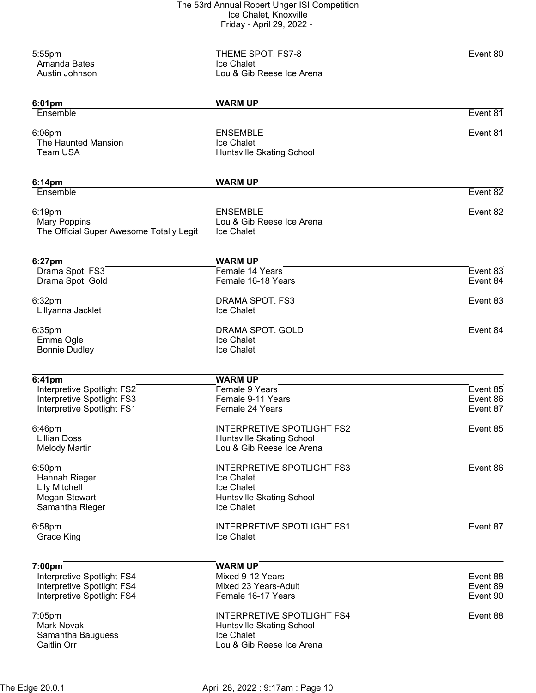| 5:55pm<br>Amanda Bates<br>Austin Johnson                                                   | THEME SPOT. FS7-8<br>Ice Chalet<br>Lou & Gib Reese Ice Arena                                              | Event 80                         |
|--------------------------------------------------------------------------------------------|-----------------------------------------------------------------------------------------------------------|----------------------------------|
| 6:01pm                                                                                     | <b>WARM UP</b>                                                                                            |                                  |
| Ensemble                                                                                   |                                                                                                           | Event 81                         |
| $6:06$ pm<br>The Haunted Mansion<br>Team USA                                               | <b>ENSEMBLE</b><br>Ice Chalet<br>Huntsville Skating School                                                | Event 81                         |
| 6:14pm                                                                                     | <b>WARM UP</b>                                                                                            |                                  |
| Ensemble                                                                                   |                                                                                                           | Event 82                         |
| 6:19pm<br><b>Mary Poppins</b><br>The Official Super Awesome Totally Legit                  | <b>ENSEMBLE</b><br>Lou & Gib Reese Ice Arena<br>Ice Chalet                                                | Event 82                         |
| 6:27pm                                                                                     | <b>WARM UP</b>                                                                                            |                                  |
| Drama Spot. FS3                                                                            | Female 14 Years                                                                                           | Event 83                         |
| Drama Spot. Gold                                                                           | Female 16-18 Years                                                                                        | Event 84                         |
| 6:32pm<br>Lillyanna Jacklet                                                                | DRAMA SPOT. FS3<br>Ice Chalet                                                                             | Event 83                         |
| 6:35pm<br>Emma Ogle<br><b>Bonnie Dudley</b>                                                | DRAMA SPOT. GOLD<br>Ice Chalet<br>Ice Chalet                                                              | Event 84                         |
| 6:41pm                                                                                     | <b>WARM UP</b>                                                                                            |                                  |
| Interpretive Spotlight FS2<br>Interpretive Spotlight FS3<br>Interpretive Spotlight FS1     | Female 9 Years<br>Female 9-11 Years<br>Female 24 Years                                                    | Event 85<br>Event 86<br>Event 87 |
| 6:46pm<br><b>Lillian Doss</b><br><b>Melody Martin</b>                                      | <b>INTERPRETIVE SPOTLIGHT FS2</b><br>Huntsville Skating School<br>Lou & Gib Reese Ice Arena               | Event 85                         |
| 6:50pm<br>Hannah Rieger<br><b>Lily Mitchell</b><br><b>Megan Stewart</b><br>Samantha Rieger | INTERPRETIVE SPOTLIGHT FS3<br>Ice Chalet<br>Ice Chalet<br>Huntsville Skating School<br>Ice Chalet         | Event 86                         |
| 6:58pm<br>Grace King                                                                       | <b>INTERPRETIVE SPOTLIGHT FS1</b><br>Ice Chalet                                                           | Event 87                         |
| 7:00pm                                                                                     | <b>WARM UP</b>                                                                                            |                                  |
| Interpretive Spotlight FS4<br>Interpretive Spotlight FS4<br>Interpretive Spotlight FS4     | Mixed 9-12 Years<br>Mixed 23 Years-Adult<br>Female 16-17 Years                                            | Event 88<br>Event 89<br>Event 90 |
| $7:05$ pm<br>Mark Novak<br>Samantha Bauguess<br>Caitlin Orr                                | <b>INTERPRETIVE SPOTLIGHT FS4</b><br>Huntsville Skating School<br>Ice Chalet<br>Lou & Gib Reese Ice Arena | Event 88                         |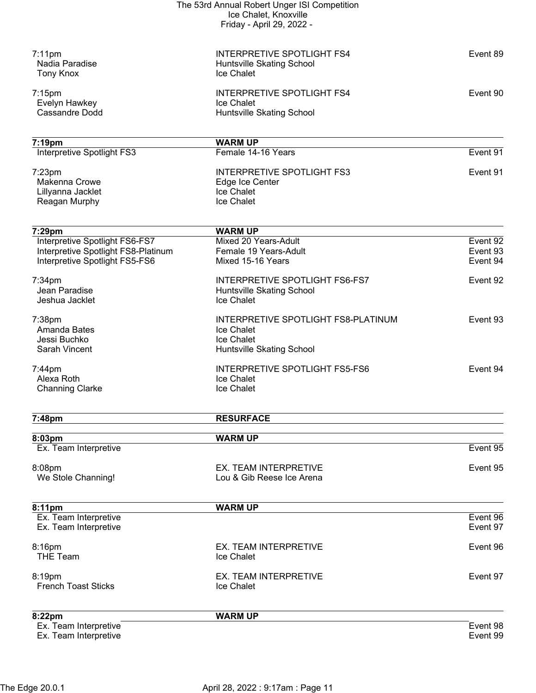| Ex. Team Interpretive<br>Ex. Team Interpretive                        |                                                                              | Event 98<br>Event 99 |
|-----------------------------------------------------------------------|------------------------------------------------------------------------------|----------------------|
| 8:22pm                                                                | <b>WARM UP</b>                                                               |                      |
| 8:19pm<br><b>French Toast Sticks</b>                                  | EX. TEAM INTERPRETIVE<br>Ice Chalet                                          | Event 97             |
| <b>THE Team</b>                                                       | Ice Chalet                                                                   |                      |
| 8:16pm                                                                | EX. TEAM INTERPRETIVE                                                        | Event 96             |
| Ex. Team Interpretive<br>Ex. Team Interpretive                        |                                                                              | Event 96<br>Event 97 |
| 8:11pm                                                                | <b>WARM UP</b>                                                               |                      |
| 8:08pm<br>We Stole Channing!                                          | EX. TEAM INTERPRETIVE<br>Lou & Gib Reese Ice Arena                           | Event 95             |
| 8:03pm<br>Ex. Team Interpretive                                       | <b>WARM UP</b>                                                               | Event 95             |
| 7:48pm                                                                | <b>RESURFACE</b>                                                             |                      |
| <b>Channing Clarke</b>                                                | Ice Chalet                                                                   |                      |
| $7:44$ pm<br>Alexa Roth                                               | <b>INTERPRETIVE SPOTLIGHT FS5-FS6</b><br>Ice Chalet                          | Event 94             |
| Jessi Buchko<br>Sarah Vincent                                         | Ice Chalet<br>Huntsville Skating School                                      |                      |
| 7:38pm<br>Amanda Bates                                                | INTERPRETIVE SPOTLIGHT FS8-PLATINUM<br>Ice Chalet                            | Event 93             |
| Jeshua Jacklet                                                        | Ice Chalet                                                                   |                      |
| $7:34$ pm<br>Jean Paradise                                            | <b>INTERPRETIVE SPOTLIGHT FS6-FS7</b><br>Huntsville Skating School           | Event 92             |
| Interpretive Spotlight FS8-Platinum<br>Interpretive Spotlight FS5-FS6 | Female 19 Years-Adult<br>Mixed 15-16 Years                                   | Event 93<br>Event 94 |
| 7:29pm<br>Interpretive Spotlight FS6-FS7                              | <b>WARM UP</b><br>Mixed 20 Years-Adult                                       | Event 92             |
|                                                                       |                                                                              |                      |
| Reagan Murphy                                                         | Ice Chalet                                                                   |                      |
| $7:23$ pm<br>Makenna Crowe<br>Lillyanna Jacklet                       | Edge Ice Center<br>Ice Chalet                                                |                      |
| Interpretive Spotlight FS3                                            | Female 14-16 Years<br><b>INTERPRETIVE SPOTLIGHT FS3</b>                      | Event 91<br>Event 91 |
| 7:19pm                                                                | <b>WARM UP</b>                                                               |                      |
|                                                                       |                                                                              |                      |
| Evelyn Hawkey<br><b>Cassandre Dodd</b>                                | Ice Chalet<br>Huntsville Skating School                                      |                      |
| $7:15$ pm                                                             | <b>INTERPRETIVE SPOTLIGHT FS4</b>                                            | Event 90             |
| $7:11$ pm<br>Nadia Paradise<br><b>Tony Knox</b>                       | <b>INTERPRETIVE SPOTLIGHT FS4</b><br>Huntsville Skating School<br>Ice Chalet | Event 89             |
|                                                                       |                                                                              |                      |
|                                                                       | Ice Chalet, Knoxville<br>Friday - April 29, 2022 -                           |                      |
|                                                                       | The 53rd Annual Robert Unger ISI Competition                                 |                      |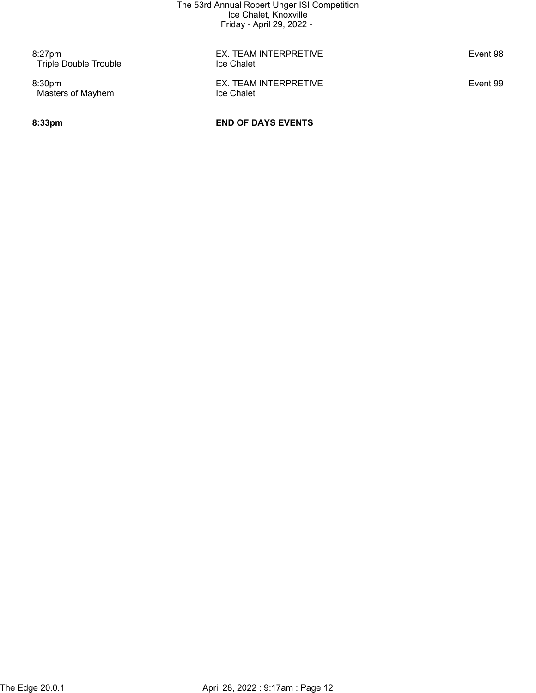8:27pm<br>
EX. TEAM INTERPRETIVE Event 98<br>
Triple Double Trouble **Exercity** Exercise Chalet Triple Double Trouble

Masters of Mayhem

8:30pm EX. TEAM INTERPRETIVE Event 99

**8:33pm END OF DAYS EVENTS**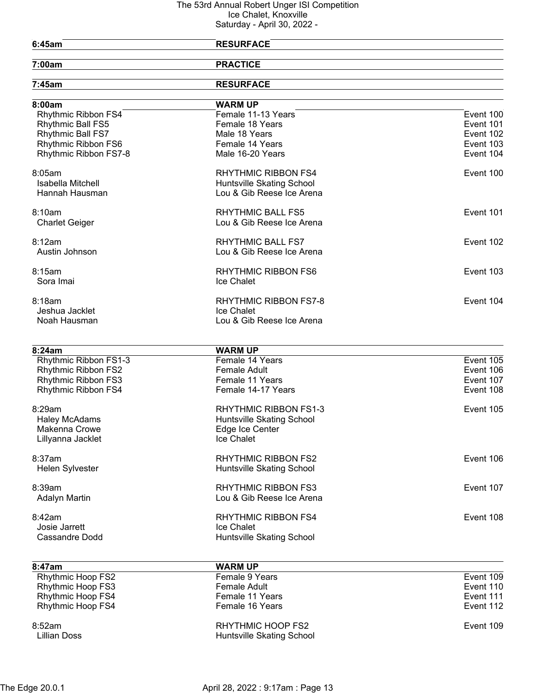|                             | Odiurudy - April Ju, Zuzz -      |           |
|-----------------------------|----------------------------------|-----------|
| 6:45am                      | <b>RESURFACE</b>                 |           |
| 7:00am                      | <b>PRACTICE</b>                  |           |
| 7:45am                      | <b>RESURFACE</b>                 |           |
| 8:00am                      | <b>WARM UP</b>                   |           |
| Rhythmic Ribbon FS4         | Female 11-13 Years               | Event 100 |
| <b>Rhythmic Ball FS5</b>    | Female 18 Years                  | Event 101 |
| Rhythmic Ball FS7           | Male 18 Years                    | Event 102 |
| Rhythmic Ribbon FS6         | Female 14 Years                  | Event 103 |
| Rhythmic Ribbon FS7-8       | Male 16-20 Years                 | Event 104 |
| $8:05$ am                   | <b>RHYTHMIC RIBBON FS4</b>       | Event 100 |
| Isabella Mitchell           | Huntsville Skating School        |           |
| Hannah Hausman              | Lou & Gib Reese Ice Arena        |           |
| 8:10am                      | <b>RHYTHMIC BALL FS5</b>         | Event 101 |
| <b>Charlet Geiger</b>       | Lou & Gib Reese Ice Arena        |           |
| 8:12am                      | <b>RHYTHMIC BALL FS7</b>         | Event 102 |
| Austin Johnson              | Lou & Gib Reese Ice Arena        |           |
| 8:15am                      | <b>RHYTHMIC RIBBON FS6</b>       | Event 103 |
| Sora Imai                   | Ice Chalet                       |           |
| 8:18am                      | <b>RHYTHMIC RIBBON FS7-8</b>     | Event 104 |
| Jeshua Jacklet              | Ice Chalet                       |           |
| Noah Hausman                | Lou & Gib Reese Ice Arena        |           |
|                             |                                  |           |
| 8:24am                      | <b>WARM UP</b>                   |           |
| Rhythmic Ribbon FS1-3       | Female 14 Years                  | Event 105 |
| Rhythmic Ribbon FS2         | Female Adult                     | Event 106 |
| Rhythmic Ribbon FS3         | Female 11 Years                  | Event 107 |
| Rhythmic Ribbon FS4         | Female 14-17 Years               | Event 108 |
| 8:29am                      | <b>RHYTHMIC RIBBON FS1-3</b>     | Event 105 |
| <b>Haley McAdams</b>        | Huntsville Skating School        |           |
| Makenna Crowe               | Edge Ice Center                  |           |
| Lillyanna Jacklet           | Ice Chalet                       |           |
| 8:37am                      | <b>RHYTHMIC RIBBON FS2</b>       | Event 106 |
| Helen Sylvester             | Huntsville Skating School        |           |
| 8:39am                      | <b>RHYTHMIC RIBBON FS3</b>       | Event 107 |
| <b>Adalyn Martin</b>        | Lou & Gib Reese Ice Arena        |           |
| 8:42am                      | <b>RHYTHMIC RIBBON FS4</b>       | Event 108 |
| Josie Jarrett               | Ice Chalet                       |           |
| <b>Cassandre Dodd</b>       | Huntsville Skating School        |           |
|                             |                                  |           |
| 8:47am<br>Rhythmic Hoop FS2 | <b>WARM UP</b><br>Female 9 Years | Event 109 |
| Rhythmic Hoop FS3           | <b>Female Adult</b>              | Event 110 |
| Rhythmic Hoop FS4           | Female 11 Years                  | Event 111 |
| Rhythmic Hoop FS4           | Female 16 Years                  | Event 112 |
|                             |                                  |           |

8:52am RHYTHMIC HOOP FS2 Event 109 Lillian Doss **Huntsville Skating School**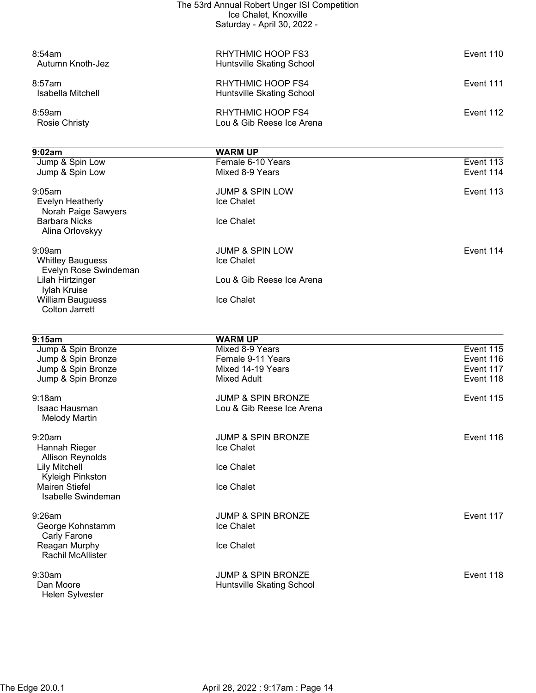| The 53rd Annual Robert Unger ISI Competition |
|----------------------------------------------|
| Ice Chalet, Knoxville                        |
| Saturday - April 30, 2022 -                  |

| 8:54am<br>Autumn Knoth-Jez                       | RHYTHMIC HOOP FS3<br>Huntsville Skating School | Event 110 |
|--------------------------------------------------|------------------------------------------------|-----------|
| 8:57am<br>Isabella Mitchell                      | RHYTHMIC HOOP FS4<br>Huntsville Skating School | Event 111 |
| 8:59am<br><b>Rosie Christy</b>                   | RHYTHMIC HOOP FS4<br>Lou & Gib Reese Ice Arena | Event 112 |
| 9:02am                                           | <b>WARM UP</b>                                 |           |
| Jump & Spin Low                                  | Female 6-10 Years                              | Event 113 |
| Jump & Spin Low                                  | Mixed 8-9 Years                                | Event 114 |
| 9:05am                                           | <b>JUMP &amp; SPIN LOW</b>                     | Event 113 |
| Evelyn Heatherly<br>Norah Paige Sawyers          | Ice Chalet                                     |           |
| <b>Barbara Nicks</b><br>Alina Orlovskyy          | Ice Chalet                                     |           |
| 9:09am                                           | <b>JUMP &amp; SPIN LOW</b>                     | Event 114 |
| <b>Whitley Bauguess</b><br>Evelyn Rose Swindeman | Ice Chalet                                     |           |
| Lilah Hirtzinger<br>lylah Kruise                 | Lou & Gib Reese Ice Arena                      |           |
| <b>William Bauguess</b>                          | Ice Chalet                                     |           |

| 9:15am                                      | <b>WARM UP</b>                |           |
|---------------------------------------------|-------------------------------|-----------|
| Jump & Spin Bronze                          | Mixed 8-9 Years               | Event 115 |
| Jump & Spin Bronze                          | Female 9-11 Years             | Event 116 |
| Jump & Spin Bronze                          | Mixed 14-19 Years             | Event 117 |
| Jump & Spin Bronze                          | Mixed Adult                   | Event 118 |
| 9:18am                                      | <b>JUMP &amp; SPIN BRONZE</b> | Event 115 |
| Isaac Hausman<br><b>Melody Martin</b>       | Lou & Gib Reese Ice Arena     |           |
| 9:20am                                      | <b>JUMP &amp; SPIN BRONZE</b> | Event 116 |
| Hannah Rieger<br><b>Allison Reynolds</b>    | Ice Chalet                    |           |
| <b>Lily Mitchell</b><br>Kyleigh Pinkston    | Ice Chalet                    |           |
| Mairen Stiefel<br><b>Isabelle Swindeman</b> | Ice Chalet                    |           |
| 9:26am                                      | <b>JUMP &amp; SPIN BRONZE</b> | Event 117 |
| George Kohnstamm<br>Carly Farone            | Ice Chalet                    |           |
| Reagan Murphy<br><b>Rachil McAllister</b>   | Ice Chalet                    |           |
| 9:30am                                      | <b>JUMP &amp; SPIN BRONZE</b> | Event 118 |
| Dan Moore<br>Helen Sylvester                | Huntsville Skating School     |           |

Colton Jarrett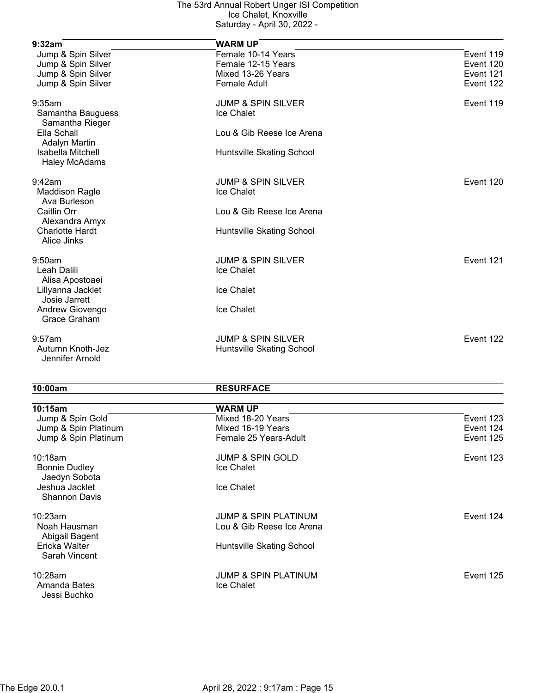| 9:32am                                    | <b>WARM UP</b>                |           |
|-------------------------------------------|-------------------------------|-----------|
| Jump & Spin Silver                        | Female 10-14 Years            | Event 119 |
| Jump & Spin Silver                        | Female 12-15 Years            | Event 120 |
| Jump & Spin Silver                        | Mixed 13-26 Years             | Event 121 |
| Jump & Spin Silver                        | <b>Female Adult</b>           | Event 122 |
| 9:35am                                    | <b>JUMP &amp; SPIN SILVER</b> | Event 119 |
| Samantha Bauguess<br>Samantha Rieger      | Ice Chalet                    |           |
| Ella Schall<br><b>Adalyn Martin</b>       | Lou & Gib Reese Ice Arena     |           |
| Isabella Mitchell<br><b>Haley McAdams</b> | Huntsville Skating School     |           |
| 9:42am                                    | <b>JUMP &amp; SPIN SILVER</b> | Event 120 |
| <b>Maddison Ragle</b><br>Ava Burleson     | Ice Chalet                    |           |
| Caitlin Orr<br>Alexandra Amyx             | Lou & Gib Reese Ice Arena     |           |
| <b>Charlotte Hardt</b><br>Alice Jinks     | Huntsville Skating School     |           |
| 9:50am                                    | <b>JUMP &amp; SPIN SILVER</b> | Event 121 |
| Leah Dalili<br>Alisa Apostoaei            | Ice Chalet                    |           |
| Lillyanna Jacklet<br>Josie Jarrett        | Ice Chalet                    |           |
| Andrew Giovengo<br>Grace Graham           | Ice Chalet                    |           |
| 9:57am                                    | <b>JUMP &amp; SPIN SILVER</b> | Event 122 |
| Autumn Knoth-Jez<br>Jennifer Arnold       | Huntsville Skating School     |           |

| 10:00am                               | <b>RESURFACE</b>                |           |
|---------------------------------------|---------------------------------|-----------|
| 10:15am                               | <b>WARM UP</b>                  |           |
| Jump & Spin Gold                      | Mixed 18-20 Years               | Event 123 |
| Jump & Spin Platinum                  | Mixed 16-19 Years               | Event 124 |
| Jump & Spin Platinum                  | Female 25 Years-Adult           | Event 125 |
| 10:18am                               | <b>JUMP &amp; SPIN GOLD</b>     | Event 123 |
| <b>Bonnie Dudley</b><br>Jaedyn Sobota | Ice Chalet                      |           |
| Jeshua Jacklet                        | Ice Chalet                      |           |
| <b>Shannon Davis</b>                  |                                 |           |
| 10:23am                               | <b>JUMP &amp; SPIN PLATINUM</b> | Event 124 |
| Noah Hausman<br>Abigail Bagent        | Lou & Gib Reese Ice Arena       |           |
| Ericka Walter                         | Huntsville Skating School       |           |
| Sarah Vincent                         |                                 |           |
| 10:28am                               | <b>JUMP &amp; SPIN PLATINUM</b> | Event 125 |
| Amanda Bates                          | Ice Chalet                      |           |
| Jessi Buchko                          |                                 |           |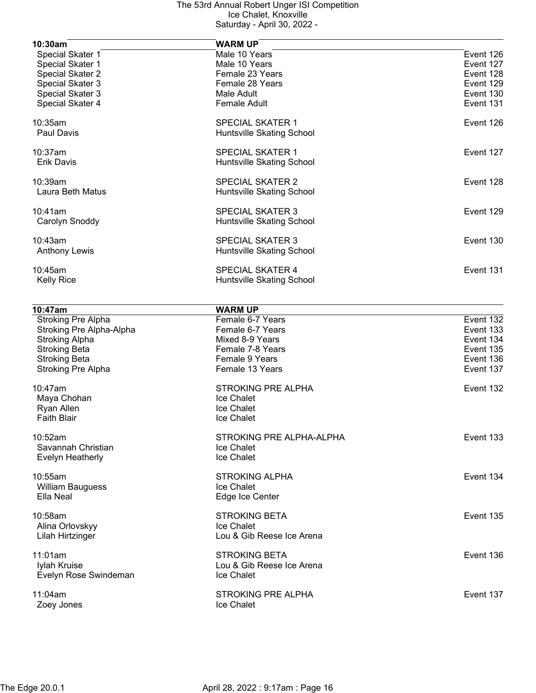| 10:30am           | <b>WARM UP</b>            |           |
|-------------------|---------------------------|-----------|
| Special Skater 1  | Male 10 Years             | Event 126 |
| Special Skater 1  | Male 10 Years             | Event 127 |
| Special Skater 2  | Female 23 Years           | Event 128 |
| Special Skater 3  | Female 28 Years           | Event 129 |
| Special Skater 3  | Male Adult                | Event 130 |
| Special Skater 4  | <b>Female Adult</b>       | Event 131 |
| 10:35am           | <b>SPECIAL SKATER 1</b>   | Event 126 |
| Paul Davis        | Huntsville Skating School |           |
| $10:37$ am        | <b>SPECIAL SKATER 1</b>   | Event 127 |
| Erik Davis        | Huntsville Skating School |           |
| 10:39am           | <b>SPECIAL SKATER 2</b>   | Event 128 |
| Laura Beth Matus  | Huntsville Skating School |           |
| 10:41am           | <b>SPECIAL SKATER 3</b>   | Event 129 |
| Carolyn Snoddy    | Huntsville Skating School |           |
| 10:43am           | <b>SPECIAL SKATER 3</b>   | Event 130 |
| Anthony Lewis     | Huntsville Skating School |           |
| $10:45$ am        | <b>SPECIAL SKATER 4</b>   | Event 131 |
| <b>Kelly Rice</b> | Huntsville Skating School |           |

| 10:47am                   | <b>WARM UP</b>            |           |
|---------------------------|---------------------------|-----------|
| Stroking Pre Alpha        | Female 6-7 Years          | Event 132 |
| Stroking Pre Alpha-Alpha  | Female 6-7 Years          | Event 133 |
| <b>Stroking Alpha</b>     | Mixed 8-9 Years           | Event 134 |
| <b>Stroking Beta</b>      | Female 7-8 Years          | Event 135 |
| <b>Stroking Beta</b>      | Female 9 Years            | Event 136 |
| <b>Stroking Pre Alpha</b> | Female 13 Years           | Event 137 |
| 10:47am                   | <b>STROKING PRE ALPHA</b> | Event 132 |
| Maya Chohan               | Ice Chalet                |           |
| Ryan Allen                | Ice Chalet                |           |
| <b>Faith Blair</b>        | Ice Chalet                |           |
| 10:52am                   | STROKING PRE ALPHA-ALPHA  | Event 133 |
| Savannah Christian        | Ice Chalet                |           |
| Evelyn Heatherly          | Ice Chalet                |           |
| 10:55am                   | <b>STROKING ALPHA</b>     | Event 134 |
| <b>William Bauguess</b>   | Ice Chalet                |           |
| Ella Neal                 | Edge Ice Center           |           |
| 10:58am                   | <b>STROKING BETA</b>      | Event 135 |
| Alina Orlovskyy           | Ice Chalet                |           |
| Lilah Hirtzinger          | Lou & Gib Reese Ice Arena |           |
| 11:01am                   | <b>STROKING BETA</b>      | Event 136 |
| Iylah Kruise              | Lou & Gib Reese Ice Arena |           |
| Evelyn Rose Swindeman     | Ice Chalet                |           |
| 11:04am                   | <b>STROKING PRE ALPHA</b> | Event 137 |
| Zoey Jones                | Ice Chalet                |           |
|                           |                           |           |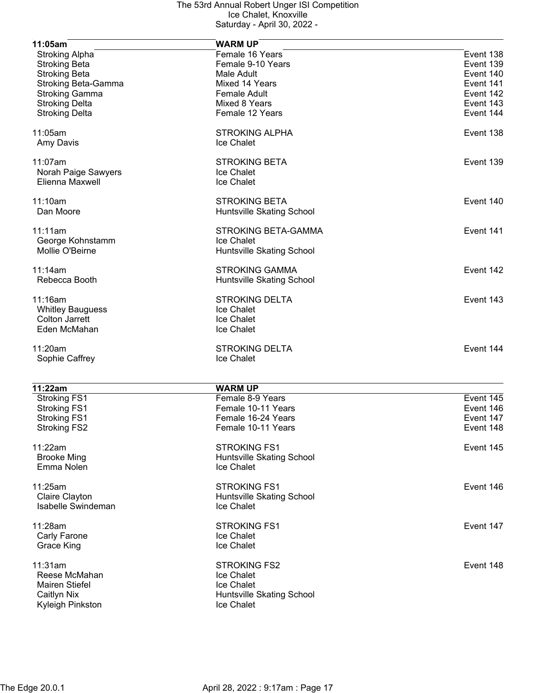| 11:05am                    | <b>WARM UP</b>            |           |
|----------------------------|---------------------------|-----------|
| <b>Stroking Alpha</b>      | Female 16 Years           | Event 138 |
| <b>Stroking Beta</b>       | Female 9-10 Years         | Event 139 |
| <b>Stroking Beta</b>       | Male Adult                | Event 140 |
| <b>Stroking Beta-Gamma</b> | Mixed 14 Years            | Event 141 |
| <b>Stroking Gamma</b>      | <b>Female Adult</b>       | Event 142 |
| <b>Stroking Delta</b>      | Mixed 8 Years             | Event 143 |
| <b>Stroking Delta</b>      | Female 12 Years           | Event 144 |
| 11:05am                    | <b>STROKING ALPHA</b>     | Event 138 |
| Amy Davis                  | Ice Chalet                |           |
| 11:07am                    | <b>STROKING BETA</b>      | Event 139 |
| Norah Paige Sawyers        | Ice Chalet                |           |
| Elienna Maxwell            | Ice Chalet                |           |
| 11:10am                    | <b>STROKING BETA</b>      | Event 140 |
| Dan Moore                  | Huntsville Skating School |           |
| 11:11am                    | STROKING BETA-GAMMA       | Event 141 |
| George Kohnstamm           | Ice Chalet                |           |
| Mollie O'Beirne            | Huntsville Skating School |           |
| 11:14am                    | <b>STROKING GAMMA</b>     | Event 142 |
| Rebecca Booth              | Huntsville Skating School |           |
| 11:16am                    | <b>STROKING DELTA</b>     | Event 143 |
| <b>Whitley Bauguess</b>    | Ice Chalet                |           |
| <b>Colton Jarrett</b>      | Ice Chalet                |           |
| Eden McMahan               | Ice Chalet                |           |
| 11:20am                    | <b>STROKING DELTA</b>     | Event 144 |
| Sophie Caffrey             | Ice Chalet                |           |
| 11:22am                    | <b>WARM UP</b>            |           |
| <b>Stroking FS1</b>        | Female 8-9 Years          | Event 145 |
| <b>Stroking FS1</b>        | Female 10-11 Years        | Event 146 |
| <b>Stroking FS1</b>        | Female 16-24 Years        | Event 147 |
| <b>Stroking FS2</b>        | Female 10-11 Years        | Event 148 |
|                            |                           |           |
| 11:22am                    | <b>STROKING FS1</b>       | Event 145 |
| <b>Brooke Ming</b>         | Huntsville Skating School |           |
| Emma Nolen                 | Ice Chalet                |           |
| 11:25am                    | <b>STROKING FS1</b>       | Event 146 |
| Claire Clayton             | Huntsville Skating School |           |
| Isabelle Swindeman         | Ice Chalet                |           |
| 11:28am                    | <b>STROKING FS1</b>       | Event 147 |
| Carly Farone               | Ice Chalet                |           |
| Grace King                 | Ice Chalet                |           |
| 11:31am                    | <b>STROKING FS2</b>       | Event 148 |
| Reese McMahan              | Ice Chalet                |           |
| Mairen Stiefel             | Ice Chalet                |           |
| <b>Caitlyn Nix</b>         | Huntsville Skating School |           |
| Kyleigh Pinkston           | Ice Chalet                |           |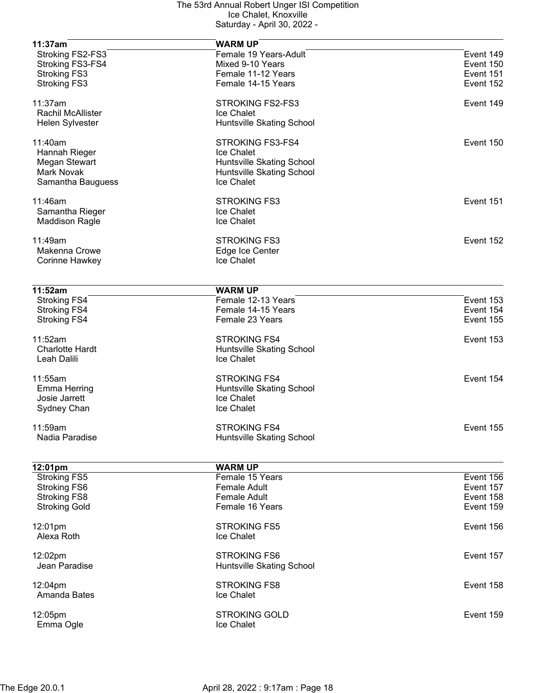| 11:37am                  | <b>WARM UP</b>            |           |
|--------------------------|---------------------------|-----------|
| Stroking FS2-FS3         | Female 19 Years-Adult     | Event 149 |
| Stroking FS3-FS4         | Mixed 9-10 Years          | Event 150 |
| <b>Stroking FS3</b>      | Female 11-12 Years        | Event 151 |
| <b>Stroking FS3</b>      | Female 14-15 Years        | Event 152 |
|                          |                           |           |
| 11:37am                  | STROKING FS2-FS3          | Event 149 |
| <b>Rachil McAllister</b> | Ice Chalet                |           |
| Helen Sylvester          | Huntsville Skating School |           |
| 11:40am                  | STROKING FS3-FS4          | Event 150 |
| Hannah Rieger            | Ice Chalet                |           |
| Megan Stewart            | Huntsville Skating School |           |
| Mark Novak               | Huntsville Skating School |           |
| Samantha Bauguess        | Ice Chalet                |           |
|                          |                           |           |
| 11:46am                  | <b>STROKING FS3</b>       | Event 151 |
| Samantha Rieger          | Ice Chalet                |           |
| <b>Maddison Ragle</b>    | Ice Chalet                |           |
| 11:49am                  | <b>STROKING FS3</b>       | Event 152 |
| Makenna Crowe            | Edge Ice Center           |           |
| Corinne Hawkey           | Ice Chalet                |           |
|                          |                           |           |
|                          |                           |           |
| 11:52am                  | <b>WARM UP</b>            |           |
| <b>Stroking FS4</b>      | Female 12-13 Years        | Event 153 |
| <b>Stroking FS4</b>      | Female 14-15 Years        | Event 154 |
| <b>Stroking FS4</b>      | Female 23 Years           | Event 155 |
| 11:52am                  | <b>STROKING FS4</b>       | Event 153 |
| <b>Charlotte Hardt</b>   | Huntsville Skating School |           |
| Leah Dalili              | Ice Chalet                |           |
|                          |                           |           |
| 11:55am                  | <b>STROKING FS4</b>       | Event 154 |
| Emma Herring             | Huntsville Skating School |           |
| Josie Jarrett            | Ice Chalet                |           |
| Sydney Chan              | Ice Chalet                |           |
|                          |                           |           |
| 11:59am                  | <b>STROKING FS4</b>       | Event 155 |
| Nadia Paradise           | Huntsville Skating School |           |
|                          |                           |           |
| 12:01pm                  | <b>WARM UP</b>            |           |
| <b>Stroking FS5</b>      | Female 15 Years           | Event 156 |
| <b>Stroking FS6</b>      | Female Adult              | Event 157 |
| <b>Stroking FS8</b>      | <b>Female Adult</b>       | Event 158 |
| <b>Stroking Gold</b>     | Female 16 Years           | Event 159 |
| 12:01pm                  | <b>STROKING FS5</b>       | Event 156 |
| Alexa Roth               | Ice Chalet                |           |
|                          |                           |           |
| 12:02pm                  | <b>STROKING FS6</b>       | Event 157 |
| Jean Paradise            | Huntsville Skating School |           |
|                          |                           |           |
| 12:04pm                  | <b>STROKING FS8</b>       | Event 158 |
| Amanda Bates             | Ice Chalet                |           |
| 12:05pm                  | <b>STROKING GOLD</b>      | Event 159 |
| Emma Ogle                | Ice Chalet                |           |
|                          |                           |           |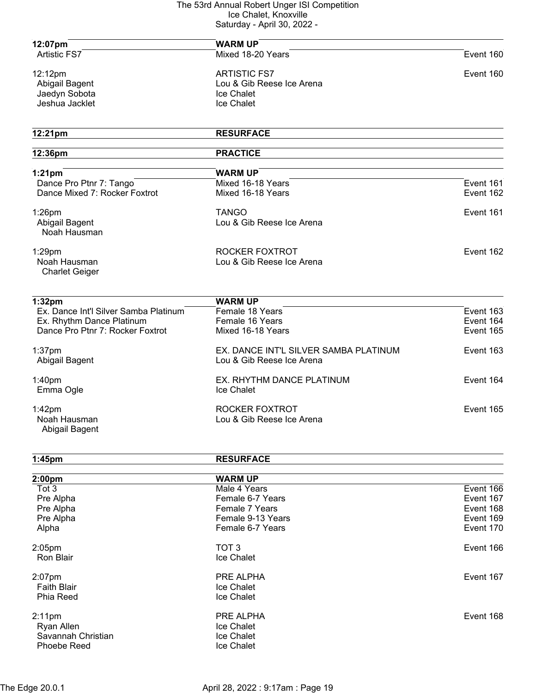| 12:07pm                                                     | <b>WARM UP</b>                        |           |
|-------------------------------------------------------------|---------------------------------------|-----------|
| Artistic FS7                                                | Mixed 18-20 Years                     | Event 160 |
|                                                             |                                       |           |
| 12:12pm                                                     | <b>ARTISTIC FS7</b>                   | Event 160 |
| Abigail Bagent                                              | Lou & Gib Reese Ice Arena             |           |
| Jaedyn Sobota                                               | Ice Chalet                            |           |
| Jeshua Jacklet                                              | Ice Chalet                            |           |
| 12:21pm                                                     | <b>RESURFACE</b>                      |           |
| 12:36pm                                                     | <b>PRACTICE</b>                       |           |
|                                                             |                                       |           |
| $1:21$ pm                                                   | <b>WARM UP</b>                        |           |
| Dance Pro Ptnr 7: Tango                                     | Mixed 16-18 Years                     | Event 161 |
| Dance Mixed 7: Rocker Foxtrot                               | Mixed 16-18 Years                     | Event 162 |
| $1:26$ pm                                                   | <b>TANGO</b>                          | Event 161 |
| Abigail Bagent                                              | Lou & Gib Reese Ice Arena             |           |
| Noah Hausman                                                |                                       |           |
| $1:29$ pm                                                   | ROCKER FOXTROT                        | Event 162 |
| Noah Hausman                                                | Lou & Gib Reese Ice Arena             |           |
| <b>Charlet Geiger</b>                                       |                                       |           |
|                                                             |                                       |           |
| 1:32 <sub>pm</sub><br>Ex. Dance Int'l Silver Samba Platinum | <b>WARM UP</b><br>Female 18 Years     | Event 163 |
| Ex. Rhythm Dance Platinum                                   | Female 16 Years                       | Event 164 |
| Dance Pro Ptnr 7: Rocker Foxtrot                            | Mixed 16-18 Years                     | Event 165 |
|                                                             |                                       |           |
| $1:37$ pm                                                   | EX. DANCE INT'L SILVER SAMBA PLATINUM | Event 163 |
| Abigail Bagent                                              | Lou & Gib Reese Ice Arena             |           |
| 1:40 <sub>pm</sub>                                          | EX. RHYTHM DANCE PLATINUM             | Event 164 |
| Emma Ogle                                                   | Ice Chalet                            |           |
|                                                             |                                       |           |
| 1:42pm                                                      | ROCKER FOXTROT                        | Event 165 |
| Noah Hausman                                                | Lou & Gib Reese Ice Arena             |           |
| Abigail Bagent                                              |                                       |           |
|                                                             |                                       |           |
| 1:45pm                                                      | <b>RESURFACE</b>                      |           |
| 2:00 <sub>pm</sub>                                          | <b>WARM UP</b>                        |           |
| Tot 3                                                       | Male 4 Years                          | Event 166 |
| Pre Alpha                                                   | Female 6-7 Years                      | Event 167 |
| Pre Alpha                                                   | Female 7 Years                        | Event 168 |
| Pre Alpha                                                   | Female 9-13 Years                     | Event 169 |
| Alpha                                                       | Female 6-7 Years                      | Event 170 |
|                                                             |                                       |           |
| $2:05$ pm                                                   | TOT <sub>3</sub>                      | Event 166 |
| <b>Ron Blair</b>                                            | Ice Chalet                            |           |
| 2:07pm                                                      | PRE ALPHA                             | Event 167 |
| <b>Faith Blair</b>                                          | Ice Chalet                            |           |
| Phia Reed                                                   | Ice Chalet                            |           |
| $2:11$ pm                                                   | PRE ALPHA                             | Event 168 |
| Ryan Allen                                                  | Ice Chalet                            |           |
| Savannah Christian                                          | Ice Chalet                            |           |
| Phoebe Reed                                                 | Ice Chalet                            |           |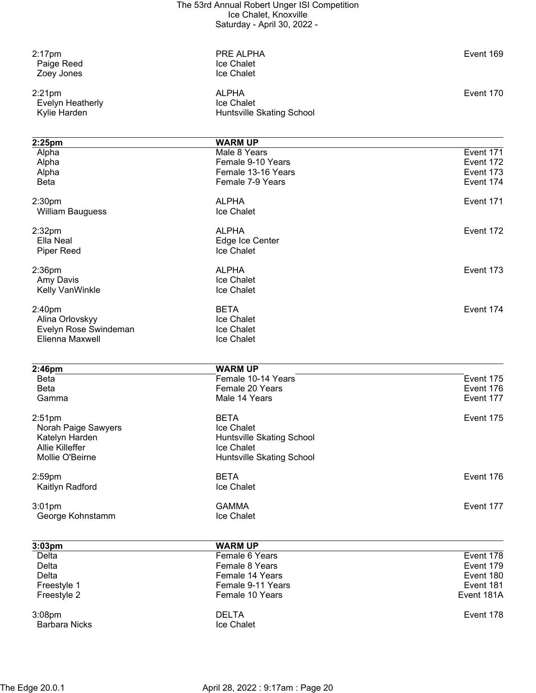| $2:17$ pm<br>Paige Reed<br>Zoey Jones         | PRE ALPHA<br>Ice Chalet<br>Ice Chalet                   | Event 169  |
|-----------------------------------------------|---------------------------------------------------------|------------|
| $2:21$ pm<br>Evelyn Heatherly<br>Kylie Harden | <b>ALPHA</b><br>Ice Chalet<br>Huntsville Skating School | Event 170  |
|                                               |                                                         |            |
| 2:25pm<br>Alpha                               | <b>WARM UP</b><br>Male 8 Years                          | Event 171  |
| Alpha                                         | Female 9-10 Years                                       | Event 172  |
| Alpha                                         | Female 13-16 Years                                      | Event 173  |
| <b>Beta</b>                                   | Female 7-9 Years                                        | Event 174  |
| 2:30 <sub>pm</sub>                            | <b>ALPHA</b>                                            | Event 171  |
| <b>William Bauguess</b>                       | Ice Chalet                                              |            |
| 2:32 <sub>pm</sub>                            | <b>ALPHA</b>                                            | Event 172  |
| Ella Neal                                     | Edge Ice Center                                         |            |
| <b>Piper Reed</b>                             | Ice Chalet                                              |            |
| $2:36$ pm                                     | <b>ALPHA</b>                                            | Event 173  |
| Amy Davis                                     | Ice Chalet                                              |            |
| Kelly VanWinkle                               | Ice Chalet                                              |            |
| 2:40pm                                        | <b>BETA</b>                                             | Event 174  |
| Alina Orlovskyy                               | Ice Chalet                                              |            |
| Evelyn Rose Swindeman                         | Ice Chalet                                              |            |
| Elienna Maxwell                               | Ice Chalet                                              |            |
| 2:46pm                                        | <b>WARM UP</b>                                          |            |
| <b>Beta</b>                                   | Female 10-14 Years                                      | Event 175  |
| <b>Beta</b>                                   | Female 20 Years                                         | Event 176  |
| Gamma                                         | Male 14 Years                                           | Event 177  |
| 2:51 <sub>pm</sub>                            | <b>BETA</b>                                             | Event 175  |
| Norah Paige Sawyers                           | Ice Chalet                                              |            |
| Katelyn Harden                                | Huntsville Skating School                               |            |
| Allie Killeffer                               | Ice Chalet                                              |            |
| Mollie O'Beirne                               | Huntsville Skating School                               |            |
| $2:59$ pm                                     | <b>BETA</b>                                             | Event 176  |
| Kaitlyn Radford                               | Ice Chalet                                              |            |
| $3:01$ pm                                     | <b>GAMMA</b>                                            | Event 177  |
| George Kohnstamm                              | Ice Chalet                                              |            |
|                                               |                                                         |            |
| 3:03pm<br>Delta                               | <b>WARM UP</b><br>Female 6 Years                        | Event 178  |
| Delta                                         | Female 8 Years                                          | Event 179  |
| Delta                                         | Female 14 Years                                         | Event 180  |
| Freestyle 1                                   | Female 9-11 Years                                       | Event 181  |
| Freestyle 2                                   | Female 10 Years                                         | Event 181A |
|                                               |                                                         |            |
| 3:08pm<br><b>Barbara Nicks</b>                | <b>DELTA</b><br>Ice Chalet                              | Event 178  |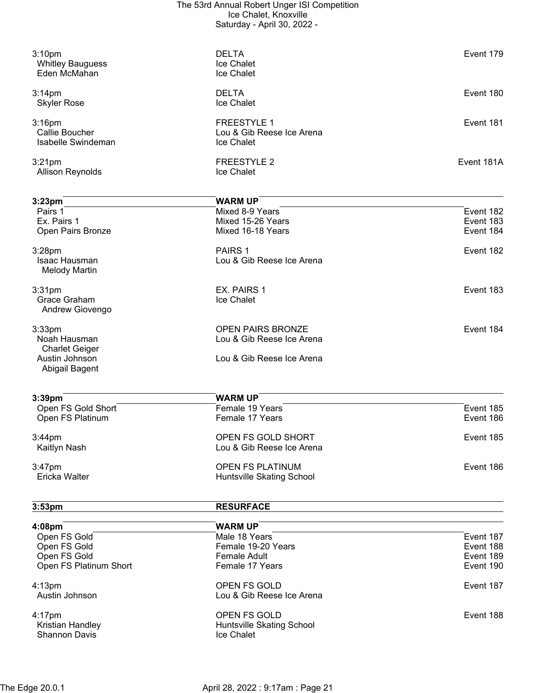| 3:10 <sub>pm</sub><br><b>Whitley Bauguess</b><br>Eden McMahan | <b>DELTA</b><br>Ice Chalet<br>Ice Chalet                      | Event 179  |
|---------------------------------------------------------------|---------------------------------------------------------------|------------|
| 3:14 <sub>pm</sub><br><b>Skyler Rose</b>                      | <b>DELTA</b><br>Ice Chalet                                    | Event 180  |
| $3:16$ pm<br>Callie Boucher<br>Isabelle Swindeman             | <b>FREESTYLE 1</b><br>Lou & Gib Reese Ice Arena<br>Ice Chalet | Event 181  |
| 3:21 <sub>pm</sub><br>Allison Reynolds                        | <b>FREESTYLE 2</b><br>Ice Chalet                              | Event 181A |
| 3:23 <sub>pm</sub>                                            | <b>WARM UP</b>                                                |            |
| Pairs 1                                                       | Mixed 8-9 Years                                               | Event 182  |

| Pairs 1<br>Ex. Pairs 1<br>Open Pairs Bronze                  | Mixed 8-9 Years<br>Mixed 15-26 Years<br>Mixed 16-18 Years | Event 182<br>Event 183<br>Event 184 |
|--------------------------------------------------------------|-----------------------------------------------------------|-------------------------------------|
| $3:28$ pm<br>Isaac Hausman<br><b>Melody Martin</b>           | PAIRS 1<br>Lou & Gib Reese Ice Arena                      | Event 182                           |
| 3:31 <sub>pm</sub><br><b>Grace Graham</b><br>Andrew Giovengo | EX. PAIRS 1<br><b>Ice Chalet</b>                          | Event 183                           |
| $3:33$ pm<br>Noah Hausman<br><b>Charlet Geiger</b>           | OPEN PAIRS BRONZE<br>Lou & Gib Reese Ice Arena            | Event 184                           |
| Austin Johnson                                               | Lou & Gib Reese Ice Arena                                 |                                     |

| 3:39 <sub>pm</sub> | <b>WARM UP</b>            |           |
|--------------------|---------------------------|-----------|
| Open FS Gold Short | Female 19 Years           | Event 185 |
| Open FS Platinum   | Female 17 Years           | Event 186 |
| $3:44$ pm          | OPEN FS GOLD SHORT        | Event 185 |
| Kaitlyn Nash       | Lou & Gib Reese Ice Arena |           |
| $3:47$ pm          | <b>OPEN FS PLATINUM</b>   | Event 186 |
| Ericka Walter      | Huntsville Skating School |           |

| 3:53 <sub>pm</sub> | <b>RESURFACE</b> |
|--------------------|------------------|
|                    |                  |
| 4:08 <sub>pm</sub> | <b>WARM UP</b>   |

Abigail Bagent

| 4:08pm                                   | <b>WARM UP</b>                                 |           |
|------------------------------------------|------------------------------------------------|-----------|
| Open FS Gold                             | Male 18 Years                                  | Event 187 |
| Open FS Gold                             | Female 19-20 Years                             | Event 188 |
| Open FS Gold                             | <b>Female Adult</b>                            | Event 189 |
| Open FS Platinum Short                   | Female 17 Years                                | Event 190 |
| $4:13 \text{pm}$                         | OPEN FS GOLD                                   | Event 187 |
| Austin Johnson                           | Lou & Gib Reese Ice Arena                      |           |
| 4:17pm                                   | OPEN FS GOLD                                   | Event 188 |
| Kristian Handley<br><b>Shannon Davis</b> | Huntsville Skating School<br><b>Ice Chalet</b> |           |
|                                          |                                                |           |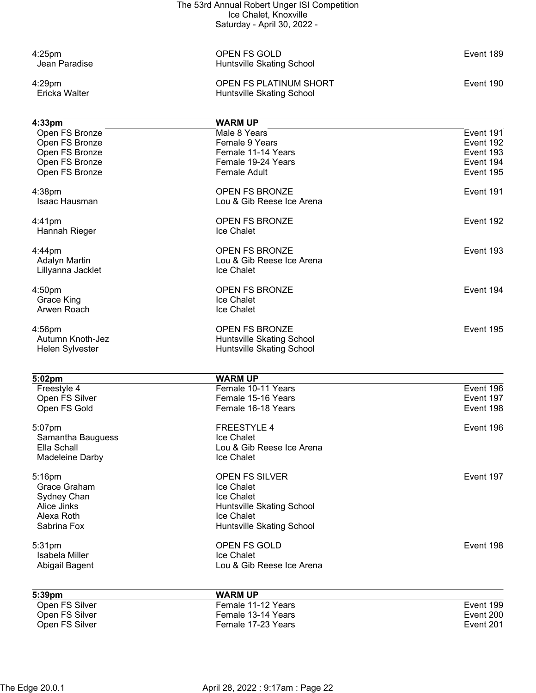| $4:25$ pm<br>Jean Paradise          | OPEN FS GOLD<br>Huntsville Skating School                     | Event 189 |
|-------------------------------------|---------------------------------------------------------------|-----------|
| 4:29pm<br>Ericka Walter             | <b>OPEN FS PLATINUM SHORT</b><br>Huntsville Skating School    | Event 190 |
|                                     |                                                               |           |
| 4:33 <sub>pm</sub>                  | <b>WARM UP</b>                                                |           |
| Open FS Bronze                      | Male 8 Years                                                  | Event 191 |
| Open FS Bronze                      | Female 9 Years                                                | Event 192 |
| Open FS Bronze                      | Female 11-14 Years                                            | Event 193 |
| Open FS Bronze                      | Female 19-24 Years                                            | Event 194 |
| Open FS Bronze                      | <b>Female Adult</b>                                           | Event 195 |
| 4:38pm                              | <b>OPEN FS BRONZE</b>                                         | Event 191 |
| Isaac Hausman                       | Lou & Gib Reese Ice Arena                                     |           |
| $4:41$ pm                           | <b>OPEN FS BRONZE</b>                                         | Event 192 |
| Hannah Rieger                       | Ice Chalet                                                    |           |
| $4:44$ pm                           | <b>OPEN FS BRONZE</b>                                         | Event 193 |
| <b>Adalyn Martin</b>                | Lou & Gib Reese Ice Arena                                     |           |
| Lillyanna Jacklet                   | Ice Chalet                                                    |           |
| 4:50pm                              | <b>OPEN FS BRONZE</b>                                         | Event 194 |
| <b>Grace King</b>                   | Ice Chalet                                                    |           |
| Arwen Roach                         | Ice Chalet                                                    |           |
| 4:56pm                              | <b>OPEN FS BRONZE</b>                                         | Event 195 |
| Autumn Knoth-Jez<br>Helen Sylvester | <b>Huntsville Skating School</b><br>Huntsville Skating School |           |
|                                     |                                                               |           |
| 5:02pm                              | <b>WARM UP</b>                                                |           |
| Freestyle 4                         | Female 10-11 Years                                            | Event 196 |
| Open FS Silver                      | Female 15-16 Years                                            | Event 197 |
| Open FS Gold                        | Female 16-18 Years                                            | Event 198 |
| 5:07pm                              | FREESTYLE 4                                                   | Event 196 |
| Samantha Bauguess                   | Ice Chalet                                                    |           |
| Ella Schall<br>Madeleine Darby      | Lou & Gib Reese Ice Arena<br>Ice Chalet                       |           |
|                                     |                                                               |           |
| 5:16pm                              | <b>OPEN FS SILVER</b>                                         | Event 197 |
| Grace Graham                        | Ice Chalet                                                    |           |
| Sydney Chan                         | Ice Chalet                                                    |           |
| Alice Jinks<br>Alexa Roth           | Huntsville Skating School<br>Ice Chalet                       |           |
| Sabrina Fox                         | Huntsville Skating School                                     |           |
| 5:31pm                              | OPEN FS GOLD                                                  | Event 198 |
| Isabela Miller                      | Ice Chalet                                                    |           |
| Abigail Bagent                      | Lou & Gib Reese Ice Arena                                     |           |
|                                     |                                                               |           |
| 5:39pm<br>Open FS Silver            | <b>WARM UP</b><br>Female 11-12 Years                          | Event 199 |
| Open FS Silver                      | Female 13-14 Years                                            | Event 200 |
| Open FS Silver                      | Female 17-23 Years                                            | Event 201 |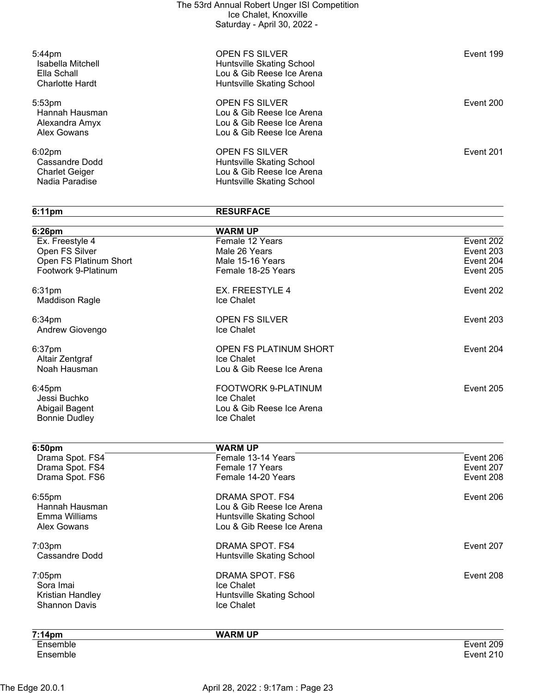| $5:44$ pm<br>Isabella Mitchell<br>Ella Schall<br><b>Charlotte Hardt</b> | <b>OPEN FS SILVER</b><br>Huntsville Skating School<br>Lou & Gib Reese Ice Arena<br>Huntsville Skating School | Event 199 |
|-------------------------------------------------------------------------|--------------------------------------------------------------------------------------------------------------|-----------|
| 5:53 <sub>pm</sub><br>Hannah Hausman<br>Alexandra Amyx<br>Alex Gowans   | <b>OPEN FS SILVER</b><br>Lou & Gib Reese Ice Arena<br>Lou & Gib Reese Ice Arena<br>Lou & Gib Reese Ice Arena | Event 200 |
| $6:02$ pm<br>Cassandre Dodd<br><b>Charlet Geiger</b><br>Nadia Paradise  | <b>OPEN FS SILVER</b><br>Huntsville Skating School<br>Lou & Gib Reese Ice Arena<br>Huntsville Skating School | Event 201 |

**6:11pm RESURFACE**

| 6:26pm                 | <b>WARM UP</b>                          |           |
|------------------------|-----------------------------------------|-----------|
| Ex. Freestyle 4        | Female 12 Years                         | Event 202 |
| Open FS Silver         | Male 26 Years                           | Event 203 |
| Open FS Platinum Short | Male 15-16 Years                        | Event 204 |
| Footwork 9-Platinum    | Female 18-25 Years                      | Event 205 |
| 6:31pm                 | EX. FREESTYLE 4                         | Event 202 |
| <b>Maddison Ragle</b>  | Ice Chalet                              |           |
| 6:34pm                 | <b>OPEN FS SILVER</b>                   | Event 203 |
| Andrew Giovengo        | Ice Chalet                              |           |
| 6:37pm                 | OPEN FS PLATINUM SHORT                  | Event 204 |
| Altair Zentgraf        | Ice Chalet                              |           |
| Noah Hausman           | Lou & Gib Reese Ice Arena               |           |
| 6:45pm                 | FOOTWORK 9-PLATINUM                     | Event 205 |
| Jessi Buchko           | Ice Chalet                              |           |
| Abigail Bagent         | Lou & Gib Reese Ice Arena               |           |
| <b>Bonnie Dudley</b>   | Ice Chalet                              |           |
| 6:50pm                 | <b>WARM UP</b>                          |           |
| Drama Spot. FS4        | Female 13-14 Years                      | Event 206 |
| Drama Spot. FS4        | Female 17 Years                         | Event 207 |
| Drama Spot. FS6        | Female 14-20 Years                      | Event 208 |
| 6:55pm                 | DRAMA SPOT. FS4                         | Event 206 |
| Hannah Hausman         | Lou & Gib Reese Ice Arena               |           |
| Emma Williams          | Huntsville Skating School               |           |
| <b>Alex Gowans</b>     | Lou & Gib Reese Ice Arena               |           |
| 7:03pm                 | DRAMA SPOT. FS4                         | Event 207 |
| <b>Cassandre Dodd</b>  | Huntsville Skating School               |           |
|                        |                                         |           |
| 7:05pm                 | DRAMA SPOT. FS6                         |           |
| Sora Imai              | Ice Chalet                              | Event 208 |
| Kristian Handley       | Huntsville Skating School<br>Ice Chalet |           |

**7:14pm WARM UP** Ensemble Event 209 Ensemble Event 210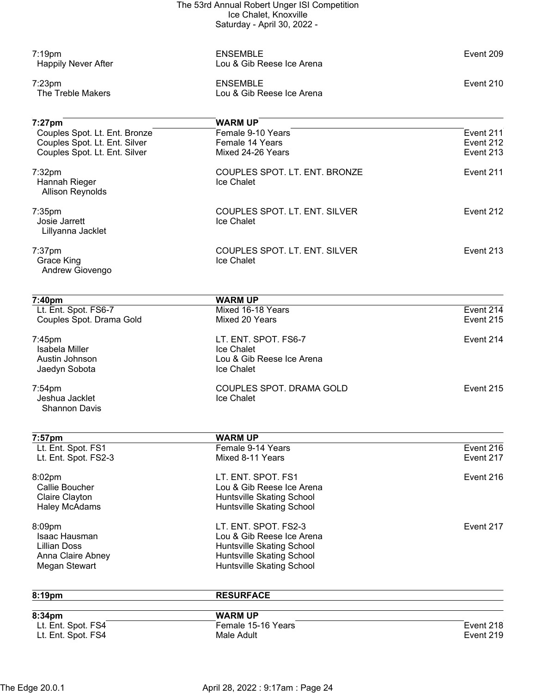| $7:19$ pm                        | <b>ENSEMBLE</b>                                        | Event 209 |
|----------------------------------|--------------------------------------------------------|-----------|
| <b>Happily Never After</b>       | Lou & Gib Reese Ice Arena                              |           |
| $7:23$ pm                        | <b>ENSEMBLE</b>                                        | Event 210 |
| The Treble Makers                | Lou & Gib Reese Ice Arena                              |           |
|                                  |                                                        |           |
| 7:27pm                           | <b>WARM UP</b>                                         |           |
| Couples Spot. Lt. Ent. Bronze    | Female 9-10 Years                                      | Event 211 |
| Couples Spot. Lt. Ent. Silver    | Female 14 Years                                        | Event 212 |
| Couples Spot. Lt. Ent. Silver    | Mixed 24-26 Years                                      | Event 213 |
| 7:32pm                           | COUPLES SPOT. LT. ENT. BRONZE                          | Event 211 |
| Hannah Rieger                    | Ice Chalet                                             |           |
| <b>Allison Reynolds</b>          |                                                        |           |
| 7:35 <sub>pm</sub>               | COUPLES SPOT. LT. ENT. SILVER                          | Event 212 |
| Josie Jarrett                    | Ice Chalet                                             |           |
| Lillyanna Jacklet                |                                                        |           |
| $7:37$ pm                        | COUPLES SPOT. LT. ENT. SILVER                          | Event 213 |
| <b>Grace King</b>                | Ice Chalet                                             |           |
| Andrew Giovengo                  |                                                        |           |
|                                  |                                                        |           |
| 7:40pm                           | <b>WARM UP</b>                                         |           |
| Lt. Ent. Spot. FS6-7             | Mixed 16-18 Years                                      | Event 214 |
| Couples Spot. Drama Gold         | Mixed 20 Years                                         | Event 215 |
| $7:45$ pm                        | LT. ENT. SPOT. FS6-7                                   | Event 214 |
| <b>Isabela Miller</b>            | Ice Chalet                                             |           |
| Austin Johnson                   | Lou & Gib Reese Ice Arena                              |           |
| Jaedyn Sobota                    | Ice Chalet                                             |           |
| $7:54$ pm                        | COUPLES SPOT. DRAMA GOLD                               | Event 215 |
| Jeshua Jacklet                   | Ice Chalet                                             |           |
| <b>Shannon Davis</b>             |                                                        |           |
|                                  |                                                        |           |
| 7:57pm<br>Lt. Ent. Spot. FS1     | <b>WARM UP</b><br>Female 9-14 Years                    | Event 216 |
| Lt. Ent. Spot. FS2-3             | Mixed 8-11 Years                                       | Event 217 |
|                                  |                                                        |           |
| 8:02pm                           | LT. ENT. SPOT. FS1                                     | Event 216 |
| Callie Boucher<br>Claire Clayton | Lou & Gib Reese Ice Arena<br>Huntsville Skating School |           |
| <b>Haley McAdams</b>             | Huntsville Skating School                              |           |
|                                  |                                                        |           |
| 8:09pm                           | LT. ENT. SPOT. FS2-3                                   | Event 217 |
| Isaac Hausman                    | Lou & Gib Reese Ice Arena                              |           |
| <b>Lillian Doss</b>              | Huntsville Skating School                              |           |
| Anna Claire Abney                | Huntsville Skating School                              |           |
| Megan Stewart                    | Huntsville Skating School                              |           |
| 8:19pm                           | <b>RESURFACE</b>                                       |           |
|                                  |                                                        |           |

| 8:34pm             | <b>WARM UP</b>     |           |
|--------------------|--------------------|-----------|
| Lt. Ent. Spot. FS4 | Female 15-16 Years | Event 218 |
| Lt. Ent. Spot. FS4 | Male Adult         | Event 219 |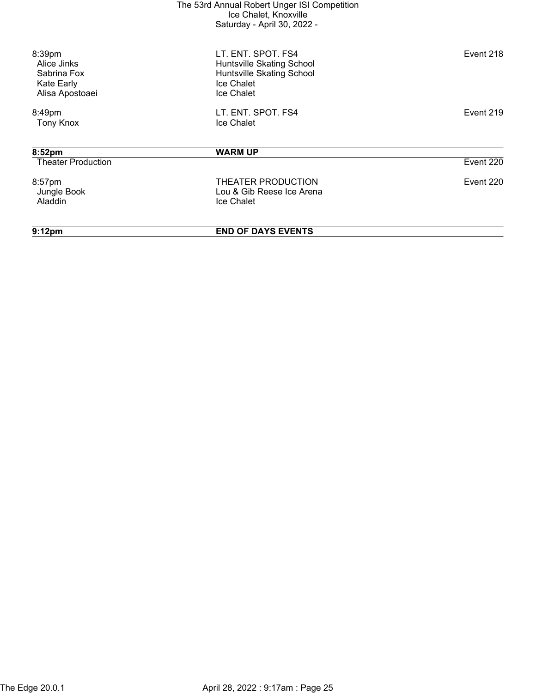| 9:12 <sub>pm</sub>                                                    | <b>END OF DAYS EVENTS</b>                                                                                |           |
|-----------------------------------------------------------------------|----------------------------------------------------------------------------------------------------------|-----------|
| 8:57pm<br>Jungle Book<br>Aladdin                                      | THEATER PRODUCTION<br>Lou & Gib Reese Ice Arena<br><b>Ice Chalet</b>                                     | Event 220 |
| <b>Theater Production</b>                                             |                                                                                                          | Event 220 |
| 8:52pm                                                                | <b>WARM UP</b>                                                                                           |           |
| 8:49pm<br><b>Tony Knox</b>                                            | LT. ENT. SPOT. FS4<br>Ice Chalet                                                                         | Event 219 |
| 8:39pm<br>Alice Jinks<br>Sabrina Fox<br>Kate Early<br>Alisa Apostoaei | LT. ENT. SPOT. FS4<br>Huntsville Skating School<br>Huntsville Skating School<br>Ice Chalet<br>Ice Chalet | Event 218 |
|                                                                       |                                                                                                          |           |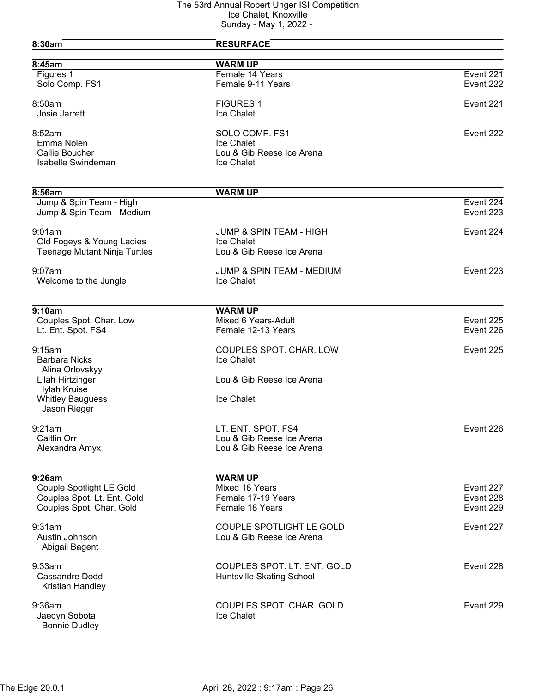| 8:30am                                               | <b>RESURFACE</b>                   |           |
|------------------------------------------------------|------------------------------------|-----------|
| 8:45am                                               | <b>WARM UP</b>                     |           |
| Figures 1                                            | Female 14 Years                    | Event 221 |
| Solo Comp. FS1                                       | Female 9-11 Years                  | Event 222 |
| 8:50am                                               | <b>FIGURES 1</b>                   | Event 221 |
| Josie Jarrett                                        | Ice Chalet                         |           |
| 8:52am                                               | SOLO COMP. FS1                     | Event 222 |
| Emma Nolen                                           | Ice Chalet                         |           |
| Callie Boucher                                       | Lou & Gib Reese Ice Arena          |           |
| <b>Isabelle Swindeman</b>                            | Ice Chalet                         |           |
| 8:56am                                               | <b>WARM UP</b>                     |           |
|                                                      |                                    | Event 224 |
| Jump & Spin Team - High<br>Jump & Spin Team - Medium |                                    | Event 223 |
| 9:01am                                               | <b>JUMP &amp; SPIN TEAM - HIGH</b> | Event 224 |
| Old Fogeys & Young Ladies                            | Ice Chalet                         |           |
| <b>Teenage Mutant Ninja Turtles</b>                  | Lou & Gib Reese Ice Arena          |           |
| $9:07$ am                                            | JUMP & SPIN TEAM - MEDIUM          | Event 223 |
| Welcome to the Jungle                                | Ice Chalet                         |           |
| 9:10am                                               | <b>WARM UP</b>                     |           |
| Couples Spot. Char. Low                              | Mixed 6 Years-Adult                | Event 225 |
| Lt. Ent. Spot. FS4                                   | Female 12-13 Years                 | Event 226 |
| 9:15am                                               | COUPLES SPOT. CHAR. LOW            | Event 225 |
| <b>Barbara Nicks</b>                                 | Ice Chalet                         |           |
| Alina Orlovskyy                                      |                                    |           |
| Lilah Hirtzinger                                     | Lou & Gib Reese Ice Arena          |           |
| Iylah Kruise                                         |                                    |           |
| <b>Whitley Bauguess</b>                              | Ice Chalet                         |           |
| Jason Rieger                                         |                                    |           |
| 9:21am                                               | LT. ENT. SPOT. FS4                 | Event 226 |
| <b>Caitlin Orr</b>                                   | Lou & Gib Reese Ice Arena          |           |
| Alexandra Amyx                                       | Lou & Gib Reese Ice Arena          |           |
| 9:26am                                               | <b>WARM UP</b>                     |           |
| Couple Spotlight LE Gold                             | Mixed 18 Years                     | Event 227 |
| Couples Spot. Lt. Ent. Gold                          | Female 17-19 Years                 | Event 228 |
| Couples Spot. Char. Gold                             | Female 18 Years                    | Event 229 |
| 9:31am                                               | COUPLE SPOTLIGHT LE GOLD           | Event 227 |
| Austin Johnson<br>Abigail Bagent                     | Lou & Gib Reese Ice Arena          |           |
|                                                      |                                    |           |
| 9:33am                                               | COUPLES SPOT. LT. ENT. GOLD        | Event 228 |
| <b>Cassandre Dodd</b>                                | Huntsville Skating School          |           |
| Kristian Handley                                     |                                    |           |
| $9:36$ am                                            | COUPLES SPOT. CHAR. GOLD           | Event 229 |
| Jaedyn Sobota                                        | Ice Chalet                         |           |
| <b>Bonnie Dudley</b>                                 |                                    |           |
|                                                      |                                    |           |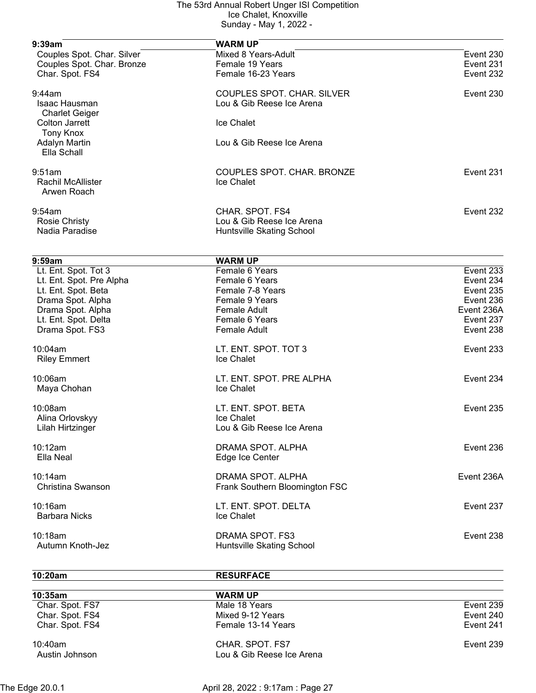| Couples Spot. Char. Silver<br>Mixed 8 Years-Adult<br>Event 230<br>Couples Spot. Char. Bronze<br>Female 19 Years<br>Event 231<br>Char. Spot. FS4<br>Female 16-23 Years<br>Event 232<br>COUPLES SPOT. CHAR. SILVER<br>Event 230<br>Isaac Hausman<br>Lou & Gib Reese Ice Arena<br><b>Charlet Geiger</b><br><b>Colton Jarrett</b><br><b>Ice Chalet</b><br><b>Tony Knox</b><br>Lou & Gib Reese Ice Arena<br><b>Adalyn Martin</b><br>Ella Schall<br>COUPLES SPOT. CHAR. BRONZE<br>Event 231<br><b>Rachil McAllister</b><br>Ice Chalet<br>Arwen Roach<br>CHAR. SPOT. FS4<br>Event 232<br><b>Rosie Christy</b><br>Lou & Gib Reese Ice Arena<br>Nadia Paradise<br>Huntsville Skating School<br><b>WARM UP</b><br>9:59am<br>Lt. Ent. Spot. Tot 3<br>Female 6 Years<br>Event 233<br>Lt. Ent. Spot. Pre Alpha<br>Female 6 Years<br>Event 234<br>Lt. Ent. Spot. Beta<br>Female 7-8 Years<br>Event 235<br>Drama Spot. Alpha<br>Female 9 Years<br>Event 236<br>Drama Spot. Alpha<br><b>Female Adult</b><br>Event 236A<br>Lt. Ent. Spot. Delta<br>Female 6 Years<br>Event 237<br>Drama Spot. FS3<br>Event 238<br><b>Female Adult</b><br>LT. ENT. SPOT. TOT 3<br>Event 233<br>10:04am<br>Ice Chalet<br><b>Riley Emmert</b><br>LT. ENT. SPOT. PRE ALPHA<br>10:06am<br>Event 234<br>Ice Chalet<br>Maya Chohan<br>10:08am<br>LT. ENT. SPOT. BETA<br>Event 235<br>Alina Orlovskyy<br><b>Ice Chalet</b><br>Lou & Gib Reese Ice Arena<br>Lilah Hirtzinger<br>10:12am<br>DRAMA SPOT. ALPHA<br>Event 236<br>Ella Neal<br>Edge Ice Center<br>DRAMA SPOT. ALPHA<br>Event 236A<br>10:14am<br>Christina Swanson<br>Frank Southern Bloomington FSC<br>LT. ENT. SPOT. DELTA<br>Event 237<br>10:16am<br><b>Barbara Nicks</b><br>Ice Chalet<br>10:18am<br>DRAMA SPOT. FS3<br>Event 238<br>Autumn Knoth-Jez<br>Huntsville Skating School | 9:39am    | <b>WARM UP</b> |  |
|--------------------------------------------------------------------------------------------------------------------------------------------------------------------------------------------------------------------------------------------------------------------------------------------------------------------------------------------------------------------------------------------------------------------------------------------------------------------------------------------------------------------------------------------------------------------------------------------------------------------------------------------------------------------------------------------------------------------------------------------------------------------------------------------------------------------------------------------------------------------------------------------------------------------------------------------------------------------------------------------------------------------------------------------------------------------------------------------------------------------------------------------------------------------------------------------------------------------------------------------------------------------------------------------------------------------------------------------------------------------------------------------------------------------------------------------------------------------------------------------------------------------------------------------------------------------------------------------------------------------------------------------------------------------------------------------------------------------------------------------------------------------------------------------------------|-----------|----------------|--|
|                                                                                                                                                                                                                                                                                                                                                                                                                                                                                                                                                                                                                                                                                                                                                                                                                                                                                                                                                                                                                                                                                                                                                                                                                                                                                                                                                                                                                                                                                                                                                                                                                                                                                                                                                                                                        |           |                |  |
|                                                                                                                                                                                                                                                                                                                                                                                                                                                                                                                                                                                                                                                                                                                                                                                                                                                                                                                                                                                                                                                                                                                                                                                                                                                                                                                                                                                                                                                                                                                                                                                                                                                                                                                                                                                                        |           |                |  |
|                                                                                                                                                                                                                                                                                                                                                                                                                                                                                                                                                                                                                                                                                                                                                                                                                                                                                                                                                                                                                                                                                                                                                                                                                                                                                                                                                                                                                                                                                                                                                                                                                                                                                                                                                                                                        |           |                |  |
|                                                                                                                                                                                                                                                                                                                                                                                                                                                                                                                                                                                                                                                                                                                                                                                                                                                                                                                                                                                                                                                                                                                                                                                                                                                                                                                                                                                                                                                                                                                                                                                                                                                                                                                                                                                                        | $9:44$ am |                |  |
|                                                                                                                                                                                                                                                                                                                                                                                                                                                                                                                                                                                                                                                                                                                                                                                                                                                                                                                                                                                                                                                                                                                                                                                                                                                                                                                                                                                                                                                                                                                                                                                                                                                                                                                                                                                                        |           |                |  |
|                                                                                                                                                                                                                                                                                                                                                                                                                                                                                                                                                                                                                                                                                                                                                                                                                                                                                                                                                                                                                                                                                                                                                                                                                                                                                                                                                                                                                                                                                                                                                                                                                                                                                                                                                                                                        |           |                |  |
|                                                                                                                                                                                                                                                                                                                                                                                                                                                                                                                                                                                                                                                                                                                                                                                                                                                                                                                                                                                                                                                                                                                                                                                                                                                                                                                                                                                                                                                                                                                                                                                                                                                                                                                                                                                                        |           |                |  |
|                                                                                                                                                                                                                                                                                                                                                                                                                                                                                                                                                                                                                                                                                                                                                                                                                                                                                                                                                                                                                                                                                                                                                                                                                                                                                                                                                                                                                                                                                                                                                                                                                                                                                                                                                                                                        |           |                |  |
|                                                                                                                                                                                                                                                                                                                                                                                                                                                                                                                                                                                                                                                                                                                                                                                                                                                                                                                                                                                                                                                                                                                                                                                                                                                                                                                                                                                                                                                                                                                                                                                                                                                                                                                                                                                                        |           |                |  |
|                                                                                                                                                                                                                                                                                                                                                                                                                                                                                                                                                                                                                                                                                                                                                                                                                                                                                                                                                                                                                                                                                                                                                                                                                                                                                                                                                                                                                                                                                                                                                                                                                                                                                                                                                                                                        |           |                |  |
|                                                                                                                                                                                                                                                                                                                                                                                                                                                                                                                                                                                                                                                                                                                                                                                                                                                                                                                                                                                                                                                                                                                                                                                                                                                                                                                                                                                                                                                                                                                                                                                                                                                                                                                                                                                                        | 9:51am    |                |  |
|                                                                                                                                                                                                                                                                                                                                                                                                                                                                                                                                                                                                                                                                                                                                                                                                                                                                                                                                                                                                                                                                                                                                                                                                                                                                                                                                                                                                                                                                                                                                                                                                                                                                                                                                                                                                        |           |                |  |
|                                                                                                                                                                                                                                                                                                                                                                                                                                                                                                                                                                                                                                                                                                                                                                                                                                                                                                                                                                                                                                                                                                                                                                                                                                                                                                                                                                                                                                                                                                                                                                                                                                                                                                                                                                                                        |           |                |  |
|                                                                                                                                                                                                                                                                                                                                                                                                                                                                                                                                                                                                                                                                                                                                                                                                                                                                                                                                                                                                                                                                                                                                                                                                                                                                                                                                                                                                                                                                                                                                                                                                                                                                                                                                                                                                        | 9:54am    |                |  |
|                                                                                                                                                                                                                                                                                                                                                                                                                                                                                                                                                                                                                                                                                                                                                                                                                                                                                                                                                                                                                                                                                                                                                                                                                                                                                                                                                                                                                                                                                                                                                                                                                                                                                                                                                                                                        |           |                |  |
|                                                                                                                                                                                                                                                                                                                                                                                                                                                                                                                                                                                                                                                                                                                                                                                                                                                                                                                                                                                                                                                                                                                                                                                                                                                                                                                                                                                                                                                                                                                                                                                                                                                                                                                                                                                                        |           |                |  |
|                                                                                                                                                                                                                                                                                                                                                                                                                                                                                                                                                                                                                                                                                                                                                                                                                                                                                                                                                                                                                                                                                                                                                                                                                                                                                                                                                                                                                                                                                                                                                                                                                                                                                                                                                                                                        |           |                |  |
|                                                                                                                                                                                                                                                                                                                                                                                                                                                                                                                                                                                                                                                                                                                                                                                                                                                                                                                                                                                                                                                                                                                                                                                                                                                                                                                                                                                                                                                                                                                                                                                                                                                                                                                                                                                                        |           |                |  |
|                                                                                                                                                                                                                                                                                                                                                                                                                                                                                                                                                                                                                                                                                                                                                                                                                                                                                                                                                                                                                                                                                                                                                                                                                                                                                                                                                                                                                                                                                                                                                                                                                                                                                                                                                                                                        |           |                |  |
|                                                                                                                                                                                                                                                                                                                                                                                                                                                                                                                                                                                                                                                                                                                                                                                                                                                                                                                                                                                                                                                                                                                                                                                                                                                                                                                                                                                                                                                                                                                                                                                                                                                                                                                                                                                                        |           |                |  |
|                                                                                                                                                                                                                                                                                                                                                                                                                                                                                                                                                                                                                                                                                                                                                                                                                                                                                                                                                                                                                                                                                                                                                                                                                                                                                                                                                                                                                                                                                                                                                                                                                                                                                                                                                                                                        |           |                |  |
|                                                                                                                                                                                                                                                                                                                                                                                                                                                                                                                                                                                                                                                                                                                                                                                                                                                                                                                                                                                                                                                                                                                                                                                                                                                                                                                                                                                                                                                                                                                                                                                                                                                                                                                                                                                                        |           |                |  |
|                                                                                                                                                                                                                                                                                                                                                                                                                                                                                                                                                                                                                                                                                                                                                                                                                                                                                                                                                                                                                                                                                                                                                                                                                                                                                                                                                                                                                                                                                                                                                                                                                                                                                                                                                                                                        |           |                |  |
|                                                                                                                                                                                                                                                                                                                                                                                                                                                                                                                                                                                                                                                                                                                                                                                                                                                                                                                                                                                                                                                                                                                                                                                                                                                                                                                                                                                                                                                                                                                                                                                                                                                                                                                                                                                                        |           |                |  |
|                                                                                                                                                                                                                                                                                                                                                                                                                                                                                                                                                                                                                                                                                                                                                                                                                                                                                                                                                                                                                                                                                                                                                                                                                                                                                                                                                                                                                                                                                                                                                                                                                                                                                                                                                                                                        |           |                |  |
|                                                                                                                                                                                                                                                                                                                                                                                                                                                                                                                                                                                                                                                                                                                                                                                                                                                                                                                                                                                                                                                                                                                                                                                                                                                                                                                                                                                                                                                                                                                                                                                                                                                                                                                                                                                                        |           |                |  |
|                                                                                                                                                                                                                                                                                                                                                                                                                                                                                                                                                                                                                                                                                                                                                                                                                                                                                                                                                                                                                                                                                                                                                                                                                                                                                                                                                                                                                                                                                                                                                                                                                                                                                                                                                                                                        |           |                |  |
|                                                                                                                                                                                                                                                                                                                                                                                                                                                                                                                                                                                                                                                                                                                                                                                                                                                                                                                                                                                                                                                                                                                                                                                                                                                                                                                                                                                                                                                                                                                                                                                                                                                                                                                                                                                                        |           |                |  |
|                                                                                                                                                                                                                                                                                                                                                                                                                                                                                                                                                                                                                                                                                                                                                                                                                                                                                                                                                                                                                                                                                                                                                                                                                                                                                                                                                                                                                                                                                                                                                                                                                                                                                                                                                                                                        |           |                |  |
|                                                                                                                                                                                                                                                                                                                                                                                                                                                                                                                                                                                                                                                                                                                                                                                                                                                                                                                                                                                                                                                                                                                                                                                                                                                                                                                                                                                                                                                                                                                                                                                                                                                                                                                                                                                                        |           |                |  |
|                                                                                                                                                                                                                                                                                                                                                                                                                                                                                                                                                                                                                                                                                                                                                                                                                                                                                                                                                                                                                                                                                                                                                                                                                                                                                                                                                                                                                                                                                                                                                                                                                                                                                                                                                                                                        |           |                |  |
|                                                                                                                                                                                                                                                                                                                                                                                                                                                                                                                                                                                                                                                                                                                                                                                                                                                                                                                                                                                                                                                                                                                                                                                                                                                                                                                                                                                                                                                                                                                                                                                                                                                                                                                                                                                                        |           |                |  |
|                                                                                                                                                                                                                                                                                                                                                                                                                                                                                                                                                                                                                                                                                                                                                                                                                                                                                                                                                                                                                                                                                                                                                                                                                                                                                                                                                                                                                                                                                                                                                                                                                                                                                                                                                                                                        |           |                |  |
|                                                                                                                                                                                                                                                                                                                                                                                                                                                                                                                                                                                                                                                                                                                                                                                                                                                                                                                                                                                                                                                                                                                                                                                                                                                                                                                                                                                                                                                                                                                                                                                                                                                                                                                                                                                                        |           |                |  |
|                                                                                                                                                                                                                                                                                                                                                                                                                                                                                                                                                                                                                                                                                                                                                                                                                                                                                                                                                                                                                                                                                                                                                                                                                                                                                                                                                                                                                                                                                                                                                                                                                                                                                                                                                                                                        |           |                |  |
|                                                                                                                                                                                                                                                                                                                                                                                                                                                                                                                                                                                                                                                                                                                                                                                                                                                                                                                                                                                                                                                                                                                                                                                                                                                                                                                                                                                                                                                                                                                                                                                                                                                                                                                                                                                                        |           |                |  |
|                                                                                                                                                                                                                                                                                                                                                                                                                                                                                                                                                                                                                                                                                                                                                                                                                                                                                                                                                                                                                                                                                                                                                                                                                                                                                                                                                                                                                                                                                                                                                                                                                                                                                                                                                                                                        |           |                |  |
|                                                                                                                                                                                                                                                                                                                                                                                                                                                                                                                                                                                                                                                                                                                                                                                                                                                                                                                                                                                                                                                                                                                                                                                                                                                                                                                                                                                                                                                                                                                                                                                                                                                                                                                                                                                                        |           |                |  |
|                                                                                                                                                                                                                                                                                                                                                                                                                                                                                                                                                                                                                                                                                                                                                                                                                                                                                                                                                                                                                                                                                                                                                                                                                                                                                                                                                                                                                                                                                                                                                                                                                                                                                                                                                                                                        |           |                |  |

**10:20am RESURFACE**

| 10:35am                      | <b>WARM UP</b>                               |           |
|------------------------------|----------------------------------------------|-----------|
| Char. Spot. FS7              | Male 18 Years                                | Event 239 |
| Char. Spot. FS4              | Mixed 9-12 Years                             | Event 240 |
| Char. Spot. FS4              | Female 13-14 Years                           | Event 241 |
| $10:40$ am<br>Austin Johnson | CHAR. SPOT. FS7<br>Lou & Gib Reese Ice Arena | Event 239 |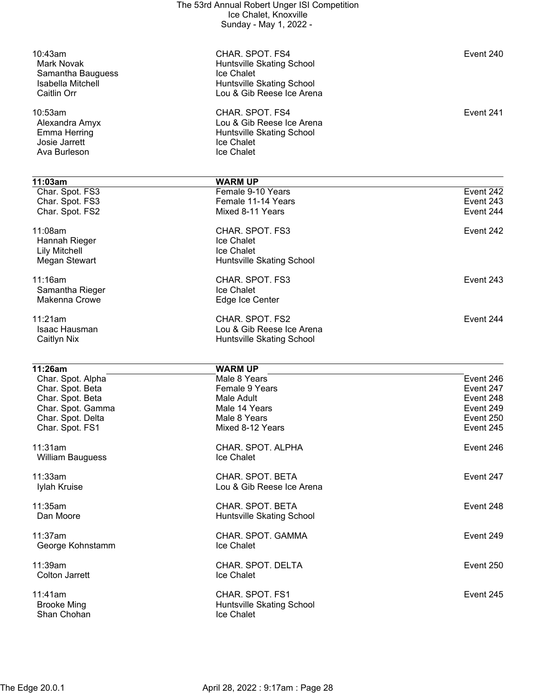|                                      | The 53rd Annual Robert Unger ISI Competition<br>Ice Chalet, Knoxville<br>Sunday - May 1, 2022 - |                        |
|--------------------------------------|-------------------------------------------------------------------------------------------------|------------------------|
|                                      |                                                                                                 |                        |
| 10:43am<br><b>Mark Novak</b>         | CHAR. SPOT. FS4<br>Huntsville Skating School                                                    | Event 240              |
| Samantha Bauguess                    | Ice Chalet                                                                                      |                        |
| Isabella Mitchell<br>Caitlin Orr     | Huntsville Skating School<br>Lou & Gib Reese Ice Arena                                          |                        |
| 10:53am                              | CHAR. SPOT. FS4                                                                                 | Event 241              |
| Alexandra Amyx                       | Lou & Gib Reese Ice Arena                                                                       |                        |
| <b>Emma Herring</b><br>Josie Jarrett | Huntsville Skating School<br>Ice Chalet                                                         |                        |
| Ava Burleson                         | Ice Chalet                                                                                      |                        |
| 11:03am                              | <b>WARM UP</b>                                                                                  |                        |
| Char. Spot. FS3                      | Female 9-10 Years                                                                               | Event 242              |
| Char. Spot. FS3                      | Female 11-14 Years                                                                              | Event 243              |
| Char. Spot. FS2                      | Mixed 8-11 Years                                                                                | Event 244              |
| 11:08am                              | CHAR. SPOT. FS3                                                                                 | Event 242              |
| Hannah Rieger                        | Ice Chalet                                                                                      |                        |
| <b>Lily Mitchell</b>                 | Ice Chalet                                                                                      |                        |
| <b>Megan Stewart</b>                 | Huntsville Skating School                                                                       |                        |
| 11:16am                              | CHAR. SPOT. FS3                                                                                 | Event 243              |
| Samantha Rieger<br>Makenna Crowe     | Ice Chalet<br>Edge Ice Center                                                                   |                        |
|                                      |                                                                                                 |                        |
| 11:21am                              | CHAR. SPOT. FS2                                                                                 | Event 244              |
| Isaac Hausman<br>Caitlyn Nix         | Lou & Gib Reese Ice Arena<br>Huntsville Skating School                                          |                        |
|                                      |                                                                                                 |                        |
| 11:26am                              | <b>WARM UP</b>                                                                                  |                        |
| Char. Spot. Alpha                    | Male 8 Years                                                                                    | Event 246              |
| Char. Spot. Beta<br>Char. Spot. Beta | Female 9 Years<br>Male Adult                                                                    | Event 247<br>Event 248 |
| Char. Spot. Gamma                    | Male 14 Years                                                                                   | Event 249              |
| Char. Spot. Delta                    | Male 8 Years                                                                                    | Event 250              |
| Char. Spot. FS1                      | Mixed 8-12 Years                                                                                | Event 245              |
| 11:31am                              | CHAR. SPOT. ALPHA                                                                               | Event 246              |
| William Bauguess                     | Ice Chalet                                                                                      |                        |
| 11:33am                              | CHAR. SPOT. BETA                                                                                | Event 247              |
| Iylah Kruise                         | Lou & Gib Reese Ice Arena                                                                       |                        |
| 11:35am                              | CHAR, SPOT, BETA                                                                                | Event 248              |
| Dan Moore                            | Huntsville Skating School                                                                       |                        |
| 11:37am                              | CHAR. SPOT. GAMMA                                                                               | Event 249              |
| George Kohnstamm                     | Ice Chalet                                                                                      |                        |
| 11:39am                              | CHAR. SPOT. DELTA                                                                               | Event 250              |
| <b>Colton Jarrett</b>                | Ice Chalet                                                                                      |                        |
| 11:41am                              | CHAR. SPOT. FS1                                                                                 | Event 245              |
| <b>Brooke Ming</b>                   | Huntsville Skating School                                                                       |                        |
| Shan Chohan                          | Ice Chalet                                                                                      |                        |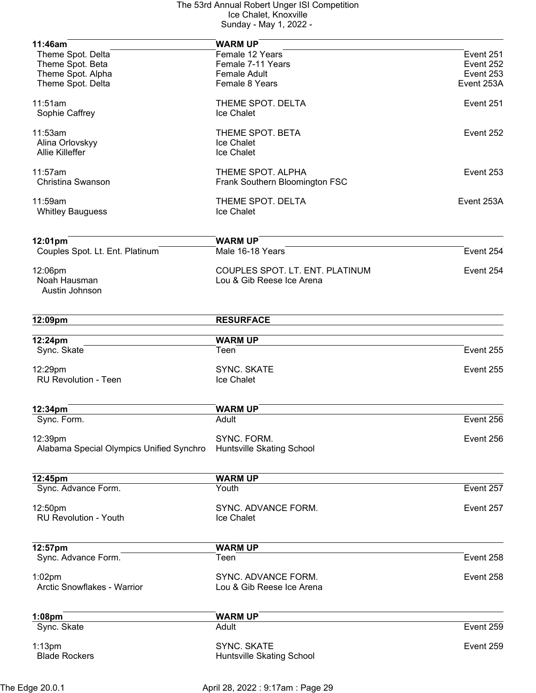| 11:46am                                  | <b>WARM UP</b>                    |            |
|------------------------------------------|-----------------------------------|------------|
| Theme Spot. Delta                        | Female 12 Years                   | Event 251  |
| Theme Spot. Beta                         | Female 7-11 Years                 | Event 252  |
| Theme Spot. Alpha                        | <b>Female Adult</b>               | Event 253  |
| Theme Spot. Delta                        | Female 8 Years                    | Event 253A |
| 11:51am                                  | THEME SPOT. DELTA                 | Event 251  |
| Sophie Caffrey                           | Ice Chalet                        |            |
| 11:53am                                  | THEME SPOT. BETA                  | Event 252  |
| Alina Orlovskyy                          | Ice Chalet                        |            |
| Allie Killeffer                          | Ice Chalet                        |            |
| 11:57am                                  | THEME SPOT. ALPHA                 | Event 253  |
| Christina Swanson                        | Frank Southern Bloomington FSC    |            |
| 11:59am                                  | THEME SPOT. DELTA                 | Event 253A |
| <b>Whitley Bauguess</b>                  | Ice Chalet                        |            |
| 12:01pm                                  | <b>WARM UP</b>                    |            |
| Couples Spot. Lt. Ent. Platinum          | Male 16-18 Years                  | Event 254  |
| 12:06pm                                  | COUPLES SPOT. LT. ENT. PLATINUM   | Event 254  |
| Noah Hausman                             | Lou & Gib Reese Ice Arena         |            |
| Austin Johnson                           |                                   |            |
| 12:09pm                                  | <b>RESURFACE</b>                  |            |
| 12:24pm                                  | <b>WARM UP</b>                    |            |
| Sync. Skate                              | Teen                              | Event 255  |
| 12:29pm                                  | <b>SYNC. SKATE</b>                | Event 255  |
| <b>RU Revolution - Teen</b>              | Ice Chalet                        |            |
| 12:34pm                                  | <b>WARM UP</b>                    |            |
| Sync. Form.                              | Adult                             | Event 256  |
|                                          |                                   |            |
| 12:39pm                                  | SYNC. FORM.                       | Event 256  |
| Alabama Special Olympics Unified Synchro | <b>Huntsville Skating School</b>  |            |
|                                          |                                   |            |
| 12:45pm<br>Sync. Advance Form.           | <b>WARM UP</b><br>Youth           | Event 257  |
|                                          |                                   |            |
| 12:50pm<br><b>RU Revolution - Youth</b>  | SYNC. ADVANCE FORM.<br>Ice Chalet | Event 257  |
|                                          |                                   |            |
| 12:57pm                                  | <b>WARM UP</b>                    |            |
| Sync. Advance Form.                      | Teen                              | Event 258  |
| $1:02$ pm                                | SYNC. ADVANCE FORM.               | Event 258  |
| <b>Arctic Snowflakes - Warrior</b>       | Lou & Gib Reese Ice Arena         |            |
| 1:08pm                                   | <b>WARM UP</b>                    |            |
| Sync. Skate                              | Adult                             | Event 259  |
| $1:13$ pm                                | <b>SYNC. SKATE</b>                | Event 259  |
| <b>Blade Rockers</b>                     | Huntsville Skating School         |            |
|                                          |                                   |            |